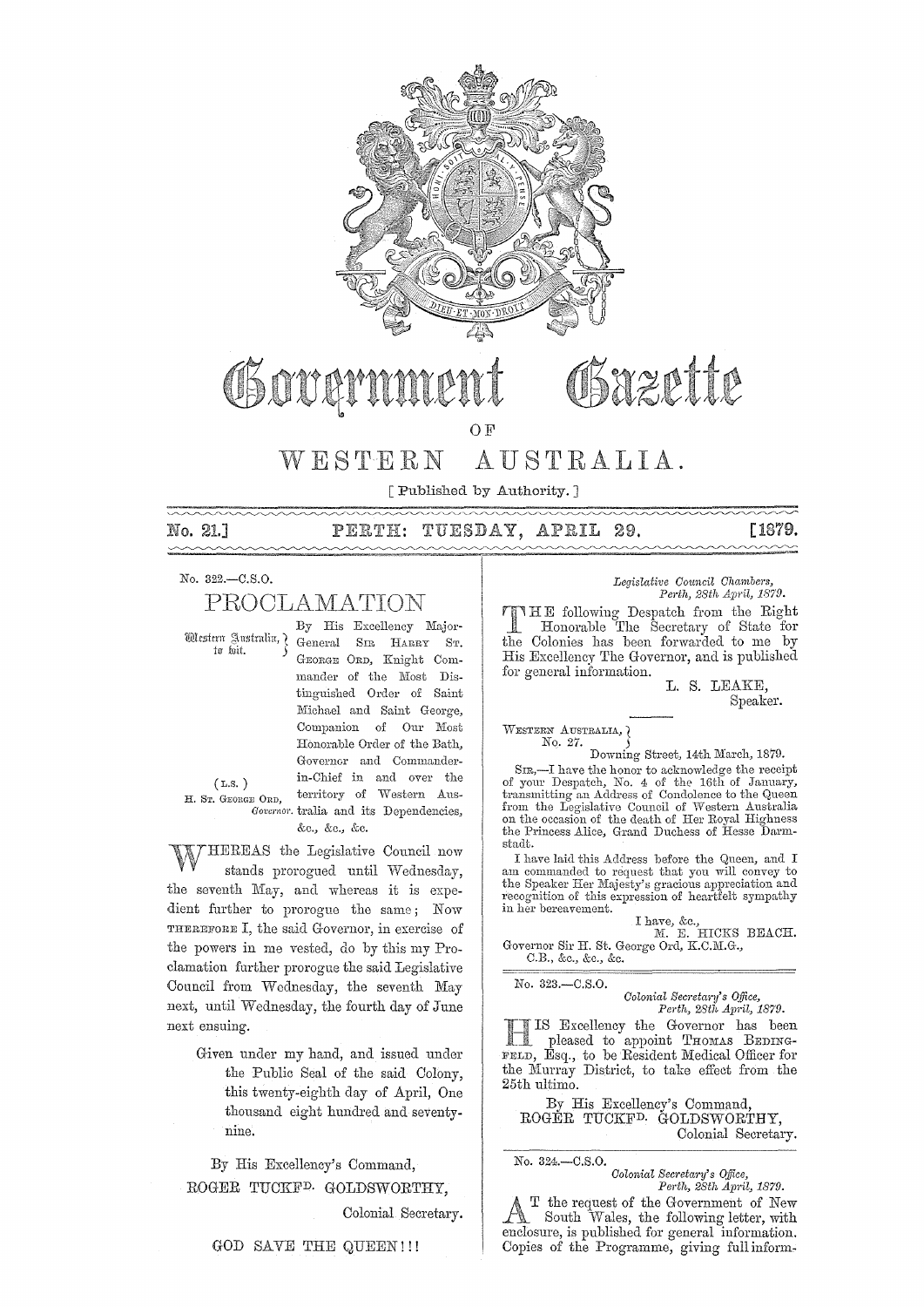

# Sazette

OF

# WESTERN AUSTRALIA.

[Published by Authority. ]

No. 21.]

#### PERTH: TUESDAY, APRIL 29. [1879.

No. 322.-C.S.0.

# PROOLAMATION

By His Excellency Major-Western Sustralia, General SIR HARRY ST. GEORGE ORD, Knight Commander of the Most Distinguished Order or Saint Michael and Saint George, Companion of Our Most Honorable Order of the Bath, Governor and Commanderin-Chief in and over the (L.S. ) H. Sr. GEORGE ORD, territory of Western Aus-Governor. tralia and its Dependencies, &c., &c., &c.

~NHEREAS the Legislative Council now stands prorogued until Wednesday, the seventh May, and whereas it is expedient further to prorogue the same; Now THEREFORE I, the said Governor, in exercise of the powers in me vested, do by this my Proclamation fmther prorogue the said Legislative Council from Wednesday, the seventh May next, until Wednesday, the fourth day of June next ensuing.

Given under my hand, and issued under the Public Seal of the said Colony, this twenty-eighth day of April, One thousand eight hundred and seventynine.

By His Excellency's Command, ROGER TUCKFD. GOLDSWORTHY,

Colonial Secretary.

GOD SAVE THE QUEEN!!!

*Legislative Council Chambers,* Perth, 28th April, 1879.

HE following Despatch from the Right Honorable The Secretary of State for the Colonies has been forwarded to me by His Excellency The Governor, and is published for general information.

L. S. LEAKE, Speaker.

WESTERN AUSTRALIA,  $\overline{\phantom{a}}$ No. 27. )

Downing Street, 14th March, 1879.

SIR,—I have the honor to acknowledge the receipt of your Despatch, No. 4 of the 16th of January, transmitting an Address of Condolence to the Queen from the Legislative Council of Western Australia on the occasion of the death of Her Royal Highness the Princess Alice, Grand Duchess of Hesse Darmstudt.

I have laid this Address before the Queen, and I am commanded to request that you will convey to the Speaker Her Majesty's gracious appreciation and recognition of this expression of heartfelt sympathy in her bereavement.

I have, &c.,<br>
M. E. HICKS BEACH. Governor Sir H. St. George Ord, K.C.M.G., C.B., &c., &c., &c.

No. 323.-C.8.0.

Colonia~ *Secretaj'Y's Office, Perth,* 28th Apl'il, 1879.

IS Excellency the Governor has been pleased to appoint THOMAS BEDING-FELD, Esq., to be Resident Medical Officer for the Murray District, to take effect from the 25th ultimo.

By His Excellency's Command, ROGER TUCKFD. GOLDSWORTHY, Colonial Secretary.

No. 324.-C.S.0.

*Colonial SeC1'eta1'Y's o.tfice, Perth, 28th* April, 1879.

 $\Lambda$  T the request of the Government of New South Wales, the following letter, with enclosure, is published for general information. Copies of the Programme, giving full inform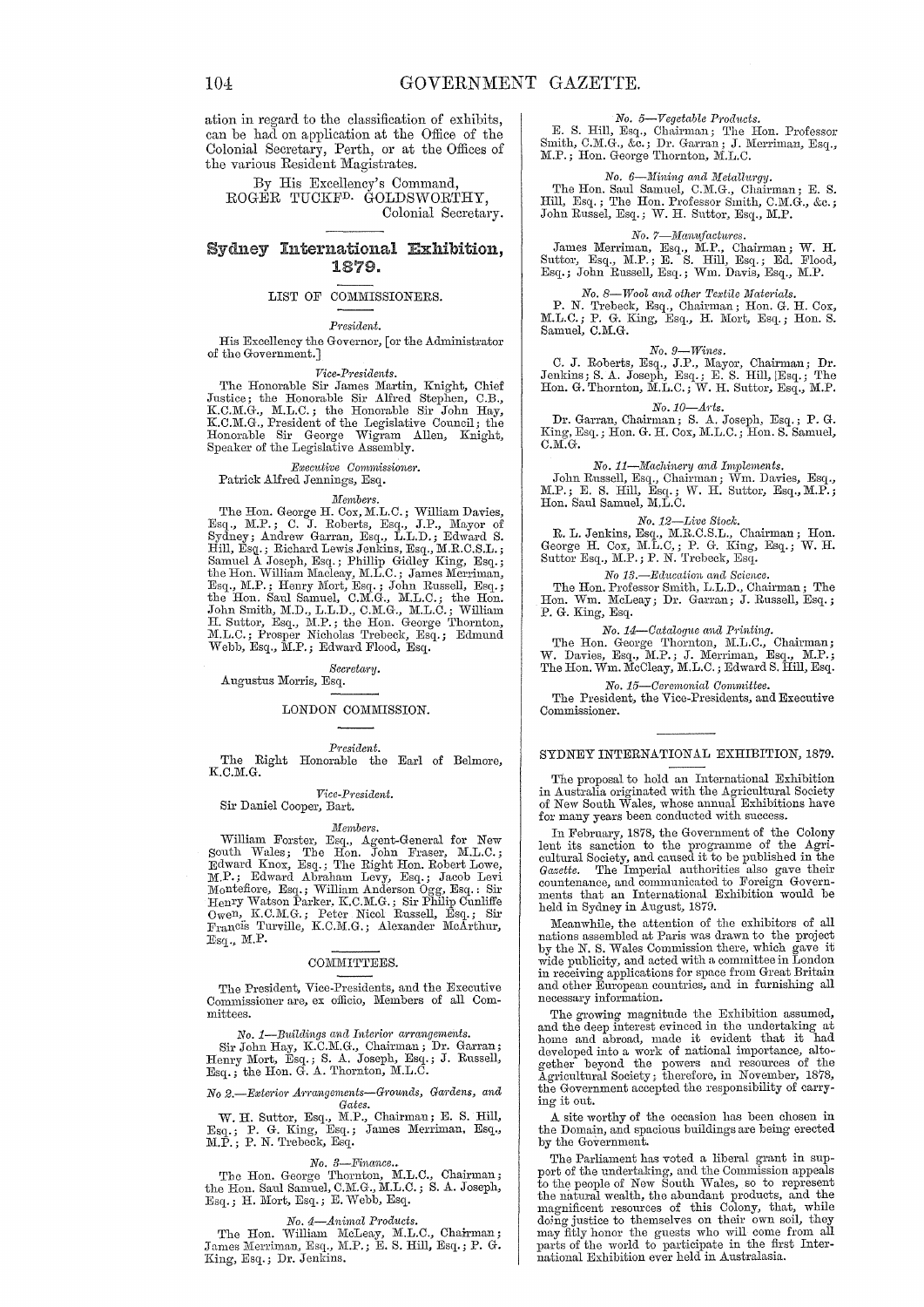ation in regard to the classification of exhibits, can be had on application at the Office of the Colonial Secretary, Perth, or at the Offices of the various Resident Magistrates.

By His Excellency's Command. ROGER TUCKF<sup>D.</sup> GOLDSWORTHY, Colonial Secretary.

### Sydney International Exhibition, 1879.

#### LIST OF COMMISSIONERS.

#### President.

His Excellency the Governor, [or the Administrator of the Government.]

#### Vice-Presidents.

The Honorable Sir James Martin, Knight, Chief<br>Justice; the Honorable Sir Alfred Stephen, C.B.,<br>K.C.M.G., M.L.C.; the Honorable Sir John Hay,<br>K.C.M.G., President of the Legislative Council; the<br>Honorable Sir George Wigram A Speaker of the Legislative Assembly.

#### Executive Commissioner. Patrick Alfred Jennings, Esq.

Members.<br>
The Hon. George H. Cox, M.L.C.; William Davies,<br>
Esq., M.P.; C. J. Roberts, Esq., J.P., Mayor of<br>
Sydney; Andrew Garran, Esq., L.L.D.; Edward S.<br>
Hill, Esq.; Richard Lewis Jenkins, Esq., M.R.C.S.L.;<br>
Samuel A Jos

#### Secretary.

Augustus Morris, Esq.

#### LONDON COMMISSION.

 $\label{p:resident} President.$ 

The Right Honorable the Earl of Belmore,  $K.C.M.G.$ 

#### Vice-President. Sir Daniel Cooper, Bart.

Members. Members.<br>
William Forster, Esq., Agent-General for New<br>
South Wales; The Hon. John Fraser, M.I.C.;<br>
Edward Knox, Esq.; The Eight Hon. Robert Lowe,<br>
M.P.; Edward Abraham Levy, Esq.; Jacob Levi<br>
Montefiore, Esq.; William And  $\mathbbm{E}{\rm sq}$  . M.P.

#### COMMITTEES.

The President, Vice-Presidents, and the Executive Commissioner are, ex officio, Members of all Committees.

No. 1—Buildings and Interior arrangements.<br>
Sir John Hay, K.C.M.G., Chairman; Dr. Garran;<br>
Henry Mort, Esq.; S. A. Joseph, Esq.; J. Russell,<br>
Esq.; the Hon. G. A. Thornton, M.L.C.

# No 2.-Exterior Arrangements-Grounds, Gardens, and

W. H. Suttor, Esq., M.P., Chairman; E. S. Hill, Esq.; P. G. King, Esq.; James Merriman, Esq., M.P.; P. N. Trebeck, Esq.

 $\label{eq:1} No.~3--Finance.$  The Hon. George Thornton, M.L.C., Chairman;<br>the Hon. Saul Samuel, C.M.G., M.L.C.; S. A. Joseph,<br>Esq.; H. Mort, Esq.; E. Webb, Esq.

#### No. 4-Animal Products.

The Hon. William McLeay, M.L.C., Chairman; James Merriman, Esq., M.P.; E. S. Hill, Esq.; P. G. King, Esq.; Dr. Jenkins.

#### No. 5-Vegetable Products.

E. S. Hill, Esq., Chairman; The Hon. Professor Smith, C.M.G., &c.; Dr. Garran; J. Merriman, Esq., M.P.; Hon. George Thornton, M.L.C.

No. 6—Mining and Metallurgy.<br>The Hon. Saul Samuel, C.M.G., Chairman; E. S.<br>Hill, Esq.; The Hon. Professor Smith, C.M.G., &c.;<br>John Russel, Esq.; W. H. Suttor, Esq., M.P.

#### No. 7-Manufactures.

James Merriman, Esq., M.P., Chairman; W. H.<br>Suttor, Esq., M.P.; E. S. Hill, Esq.; Ed. Flood, Esq.; John Russell, Esq.; Wm. Davis, Esq., M.P.

# No. 8-Wool and other Textile Materials.

P. N. Trebeck, Esq., Chairman; Hon. G. H. Cox,<br>M.L.C.; P. G. King, Esq., H. Mort, Esq.; Hon. S. Samuel, C.M.G.

#### $No. 9—Wines.$

C. J. Roberts, Esq., J.P., Mayor, Chairman; Dr.<br>Jenkins; S. A. Joseph, Esq.; E. S. Hill, [Esq.; The<br>Hon. G. Thornton, M.L.C.; W. H. Suttor, Esq., M.P.

No. 10-Arts.<br>Dr. Garran, Chairman; S. A. Joseph, Esq.; P. G.<br>King, Esq.; Hon. G. H. Cox, M.L.C.; Hon. S. Samuel,  $C.M.G.$ 

 $\label{eq:1} No.\ 11--Machinely\ and\ Implements. $$ John Russell, Esq., Chairman; Wm. Davies, Esq., M.P.; E. S. Hill, Esq.; W. H. Suttor, Esq., M.P.; Hon. Saul Samuel, M.L.C.$ 

#### No. 12-Live Stock.

R. L. Jenkins, Esq., M.R.C.S.L., Chairman; Hon.<br>George H. Cox, M.L.C.; P. G. King, Esq.; W. H.<br>Suttor Esq., M.P.; P. N. Trebeck, Esq.

No 13.—Education and Science.<br>The Hon. Professor Smith, L.L.D., Chairman; The<br>Hon. Wm. McLeay; Dr. Garran; J. Russell, Esq.;<br>P. G. King, Esq.

No. 14—Catalogue and Printing.<br>The Hon. George Thornton, M.L.C., Chairman;<br>W. Davies, Esq., M.P.; J. Merriman, Esq., M.P.;<br>The Hon. Wm. McCleay, M.L.C.; Edward S. Hill, Esq.

No. 15-Ceremonial Committee.

The President, the Vice-Presidents, and Executive Commissioner.

#### SYDNEY INTERNATIONAL EXHIBITION, 1879.

The proposal to hold an International Exhibition<br>in Australia originated with the Agricultural Society<br>of New South Wales, whose annual Exhibitions have<br>for many years been conducted with success.

In February, 1878, the Government of the Colony In February, 1976, the covernment of the Agricultural Society, and caused it to be published in the Gazette. The Imperial authorities also gave their countenance, and communicated to Foreign Governments that an Internation held in Sydney in August, 1879.

Meanwhile, the attention of the exhibitors of all nations assembled at Paris was drawn to the project<br>by the N. S. Wales Commission there, which gave it<br>wide publicity, and acted with a committee in London in receiving applications for space from Great Britain and other European countries, and in furnishing all necessary information.

The growing magnitude the Exhibition assumed,<br>The growing magnitude the Exhibition assumed,<br>and the deep interest evinced in the undertaking at<br>home and abroad, made it evident that it had<br>developed into a work of national the Government accepted the responsibility of carrying it out.

A site worthy of the occasion has been chosen in the Domain, and spacious buildings are being erected by the Government.

The Parliament has voted a liberal grant in support of the undertaking, and the Commission appeals to the people of New South Wales, so to represent to the people of New South Wales, so to represent<br>the natural wealth, the abundant products, and the<br>magnificent resources of this Colony, that, while<br>doing justice to themselves on their own soil, they<br>may fitly honor the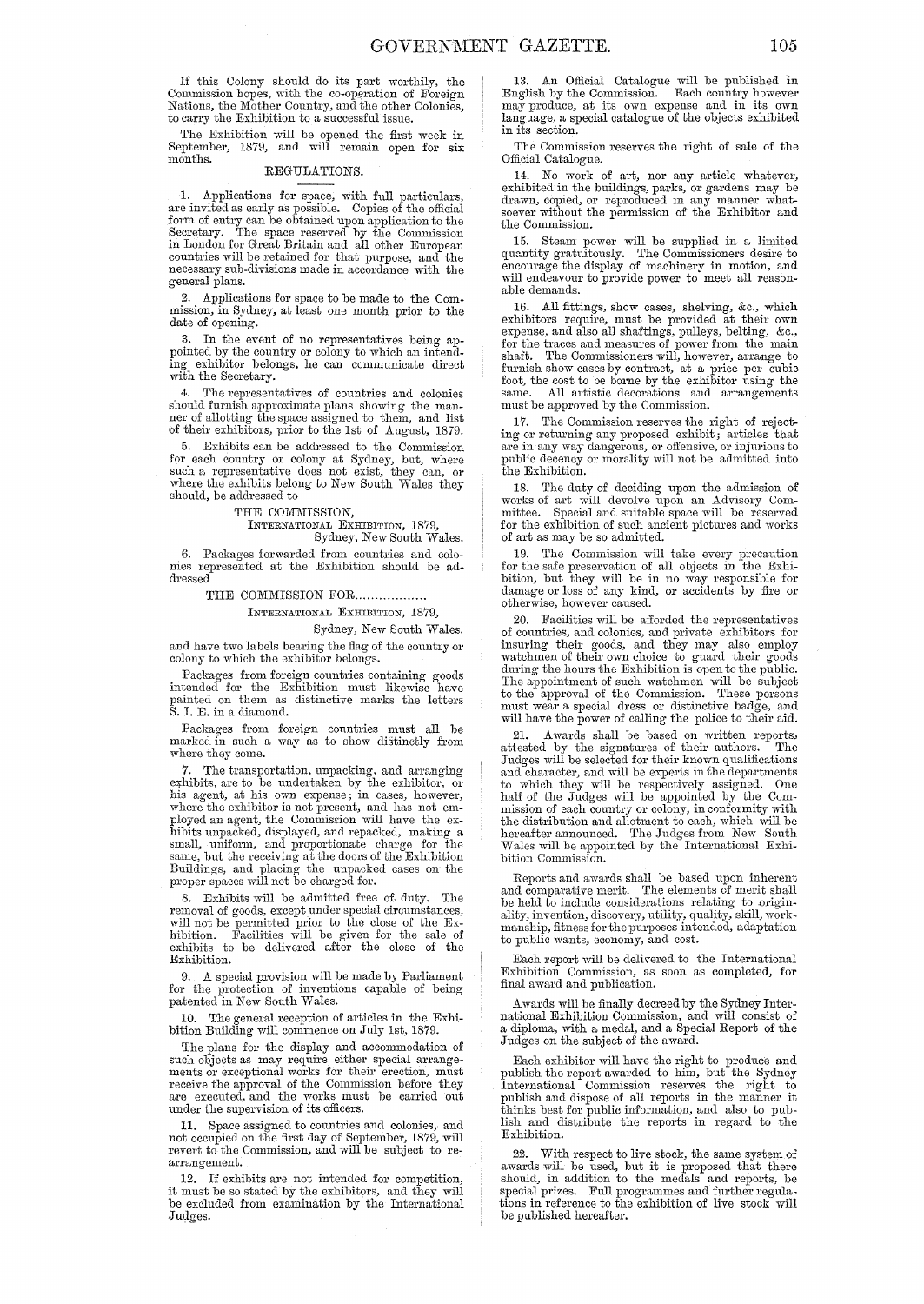If this Colony should do its part worthily, the Commission hopes, with the co-operation of Foreign<br>Nations, the Mother Country, and the other Colonies, to carry the Exhibition to a successful issue.

The Exhibition will be opened the first week in September, 1879, and will remain open for six months.

#### REGULATIONS.

1. Applications for space, with full particulars,<br>are invited as early as possible. Copies of the official<br>form of entry can be obtained upon application to the<br>Secretary. The space reserved by the Commission<br>in London for general plans.

2. Applications for space to be made to the Com-mission, in Sydney, at least one month prior to the date of opening.

In the event of no representatives being appointed by the country or colony to which an intend-Ing exhibitor belongs, he can communicate direct with the Secretary.

4. The representatives of countries and colonies should furnish approximate plans showing the manner of allotting the space assigned to them, and list of their exhibitors, prior to the 1st of August, 1879.

5. Exhibits can be addressed to the Commission for each country or colony at Sydney, but, where such a representative does not exist, they can, or where the exhibits belong to New South Wales they should, be addressed to

THE COMMISSION,

INTERNATIONAL EXHIBITION, 1879, Sydney, New South Wales.

6. Packages forwarded from countries and colonies represented at the Exhibition should be addressed

THE COMMISSION FOR ...................

INTERNATIONAL EXHIBITION, 1879,

Sydney, New South Wales. and have two labels bearing the flag of the country or

colony to which the exhibitor belongs. Packages from foreign countries containing goods intended for the Exhibition must likewise have painted on them as distinctive marks the letters

S. 1. E. in a diamond. Packages from foreign countries must all be

marked in such a way as to show distinctly from where they come.

7. The transportation, unpacking, and arranging exhibits, are to be undertaken by the exhibitor, or his agent, at his own expense; in cases, however, where the exhibitor is not present, aud has not employed an agent, the Commission will have the ex-<br>hibits unpacked, displayed, and repacked, making a small, uniform, and proportionate charge for the same, but the receiving at the doors of the Exhibition Buildings, and placing the unpacked cases on the proper spaces will not be charged for.

8. Exhibits will be admitted free of duty. The removal of goods, except under special circumstances, will not be permitted prior to the close of the Exhibition. Facilities will be given for the sale of exhibits to be delivered after the close of the Exhibition.

9. A special provision will be made by Parliament for the protection of inveutions capable of being patented in New South Wales.

10. The general reception of articles in the Exhi-bition Building will commence on July 1st, 1879.

The plans for the display and accommodation of such objects as may require either special arrange-<br>ments or exceptional works for their erection, must<br>receive the approval of the Commission before they<br>are executed, and the works must be carried out under the supervision of its officers.

11. Space assigned to countries and colonies, and not occupied on the first day of September, 1879, will revert to the Commission, and will be subject to rearrangement.

12. If exhibits are not intended for competition, it must be so stated by the exhibitors, and they will be excluded from examination by the International Judges.

13. An Official Catalogue will be published in English by the Commission. Each country however may produce, at its own expense and in its own language. a special catalogue of the objects exhibited in its section.

The Commission reserves the right of sale of the Official Catalogne.

14. No work of art, nor any article whatever, exhibited in the buildings, parks, or gardens may be drawn, copied, or reproduced in any manner what-soever without the permission of the Exhibitor and the Commission.

15. Steam power will be supplied in a limited quantity gratuitously. The Commissioners desire to encourage the display of machinery in motion, and will endeavour to provide power to meet all reasonable demands.

16. All fittings, show cases, shelving, &c., which exhibitors require, must be provided at their own expense, and also all shaftings, pulleys, belting, &c., for the traces and measures of power from the main shaft. The Commissioners will, however, arrange to furnish show cases by contract, at a price per cubic foot, the cost to be borne by the exhibitor using the same. All artistic decorations and arrangements must be approved by the Commission.

17. The Commission reserves the right of rejecting or returning any proposed exhibit; articles that are in any way dangerous, or offensive, or injurious to public decency or morality will not be admitted into the Exhibition.

18. The duty of deciding upon the admission of works of art will devolve upon an Advisory Committee. Special and suitable space will be reserved for the exhibition of such ancient pictures and works of art as may be so admitted.

19. The Commission will take every precaution for the safe preservation of all objects in the Exhi-bition, but they will be in no way responsible for damage or loss of any kind, or accidents by fire or otherwise, however caused.

20. Facilities will be afforded the representatives of countries, and colonies, and private exhibitors for insuring their goods, and they may also employ<br>watchmen of their own choice to guard their goods during the hours the Exhibition is open to the public. The appointment of such watchmen will be subject to the approval of the Commission. These persons must wear a special dress or distinctive badge, and will have the power of calling the police to their aid.

21. Awards shall be based on written reports, attested by the signatures of their authors. Judges will be selected for their known qualifications and character, and will be experts in the departments to which they will be respectively assigned. One half of the Judges will be appointed by the Commission of each country or colony, in conformity with the distribution and allotment to each, which will be hereafter announced. The Judges from New South Wales will be appointed by the International Exhibition Commission.

Reports and awards shall be based upon inherent and comparative merit. 'fhe elements of merit shall be held to include considerations relating to originality, invention, discovery, utility, quality, skill, work-manship, fitness for the purposes intended, adaptation to public wants, economy, and cost.

Each report will be delivered to the International Exhibition Commission, as soon as completed, for final a ward and publication.

A wards will be finally decreed by the Sydney International Exhibition Commission, and will consist of a diploma, with a medal, and a Special Report of the Judges on the subject of the award.

Each exhibitor will have the right to produce and publish the report awarded to him, but the Sydney<br>International Commission reserves the right to<br>publish and dispose of all reports in the manner it<br>thinks best for public information, and also to pub-<br>lish and distribute Exhibition.

22. With respect to live stock, the same system of awards will be used, but it is proposed that there should, in addition to the medals and reports, be special prizes. Full programmes and further regula-tions in reference to the exhibition of live stock will be published hereafter.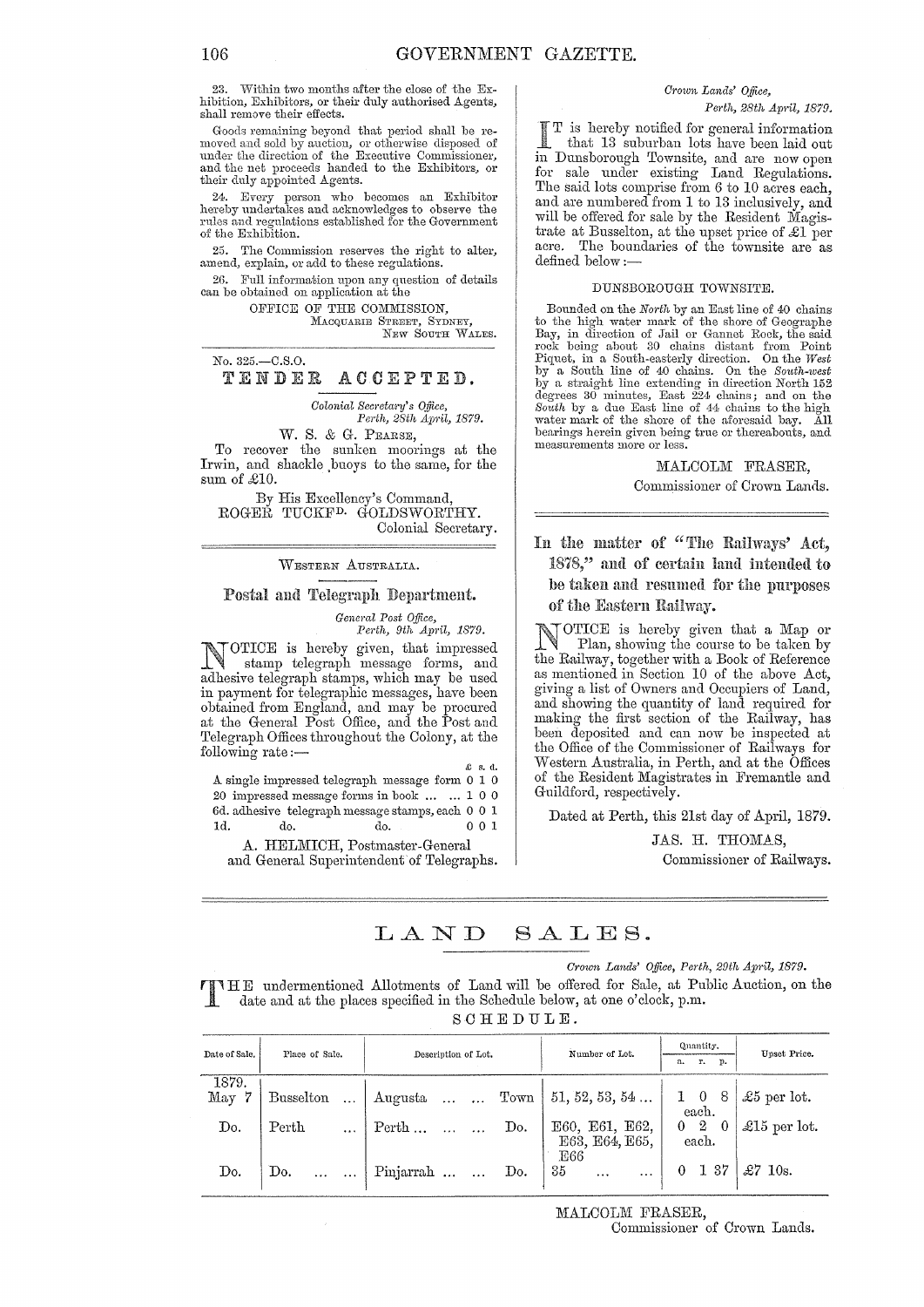23. Within two months after the close of the Exhibition, Exhibitors, or their duly authorised Agents, shall remove their effects.

Goods remaining beyond that period shall be removed and sold by auction, or otherwise disposed of under the direction of the Executive Commissioner, and the net proceeds handed to the Exhibitors, or their duly appointed Agents.

24. Every person who becomes an Exhibitor hereby undertakes and acknowledges to observe the rules and regulations established for the Government of the Exhibition.

25. The Commission reserves the right to alter, amend, explain, or add to these regulations.

2G. Full information upon any question of details can be obtained on application at the

OFFICE OF THE COMMISSION, MACQUARIE STREET, SYDNEY, NEW SOUTH WALES.

No. 325.-C.S.0.

TENDER ACCEPTED.

*Colonial Secretary's Office,* 

*Perth, 28th April, 1879.*  W. S. & G. PEARSE,

To recover the sunken moorings at the Irwin, and shackle ,buoys to the same, for the sum of *£10.* 

By His Excellency's Command, ROGER TUCKFD. GOLDSWORTHY. Colonial Secretary.

WESTERN AUSTRALIA..

#### Postal and Telegraph Department.

*General Post Office,* 

*Perth, 9th April, 1879.*  NOTICE is hereby given, that impressed stamp telegraph message forms, and adhesive telegraph stamps, which may be used in payment for telegraphic messages, have been obtained from England, and may be procured at the General Post Office, and the Post and Telegraph Offices throughout the Colony, at the following rate :—

A single impressed telegraph message form 0 I 0  $20\,$  impressed message forms in book  $\,\ldots\,\,$   $\ldots$   $\,1\,$   $0\,$   $0\,$ Gd. adhesive telegraph message stamps, each 0 0 I Id. do. do. 0 0 I

A. HELMICH, Postmaster-General and General Superintendent of Telegraphs.

# *Crown Lands' o.tfice,*

*Pe1·th, 28th Ap1'il, 1879.* 

T is hereby notified for general information that 13 suburban lots have been laid out Dunsborough Townsite, and are now open for sale under existing Land Regulations. The said lots comprise from 6 to 10 acres each. and are numbered from 1 to 13 inclusively, and will be offered for sale by the Resident Magistrate at Busselton, at the upset price of £1 per acre. The boundaries of the townsite are as defined below:-

#### DUNSBOROUGH TOWNSITE.

Bounded on the *North* by an East line of 40 chains to the high water mark of the shore of Geographe Bay, in direction of Jail or Gannet Rock, the said rock being about 30 chains distant from Point Piquet, in a South-easterly direction. On the *West* by a South line of 40 chains. On the *South-west* by a straight line extending in direction North 152 degrees 30 minutes, East 224 chains; and on the *South* by a due East line of 44 chains to the high water mark of the shore of the aforesaid bay. All bearings herein given being true or thereabouts, and measurements more or less.

#### MALCOLM FRASER,

Commissioner of Crown Lands.

In the matter of "The Railways' Act, 1878," amI of certain intended to be taken and resumed for the purposes of the Eastern Railway.

OTICE is hereby given that a Map or Plan, showing the course to be taken by the Railway, together with a Book of Reference as mentioned in Section 10 of the above Act, giving a list of Owners and Occupiers of Land, and showing the quantity of land required for making the first section of the Railway, has been deposited and can now be inspected at the Office of the Commissioner of Railways for Western Australia, in Perth, and at the Offices of the Resident Magistrates in Fremantle and Guildford, respectively.

Dated at Perth, this 21st day of April, 1879.

JAS. H. THOMAS, Commissioner of Railways.

#### LAND SALES.

*Grown Lands' o.tfice, Perth, 29th Ap1'il, 1879.* 

T HE undermentioned Allotments of Land will be offered for Sale, at Public Auction, on the date and at the places specified in the Schedule below, at one o'clock, p.m.

SCHEDULE.

| Date of Sale.     | Place of Sale.             | Description of Lot.                                | Number of Lot.                                            | Quantity.                                                 | Upset Price.         |  |
|-------------------|----------------------------|----------------------------------------------------|-----------------------------------------------------------|-----------------------------------------------------------|----------------------|--|
|                   |                            |                                                    |                                                           | т.<br>р.<br>a.                                            |                      |  |
| 1879.<br>7<br>May | <b>Busselton</b><br>$\sim$ | $\mid$ Augusta   Town $\mid$ 51, 52, 53, 54 $\mid$ |                                                           | $\begin{array}{cc} 1 & 0 & 8 \\ \text{each.} \end{array}$ | £5 per lot.          |  |
| Do.               | Perth<br>$\ddotsc$         | Do.<br>$\mathrm{Perth} \ldots \ldots \ldots$       | E60, E61, E62, E63, E63, E64, E65,<br>E66                 | $0\quad 2\quad 0$<br>each.                                | $\pounds15$ per lot. |  |
| Do.               | Do.                        | Pinjarrah   Do. $35^\circ$                         | $\mathcal{L}^{\text{max}}$ and $\mathcal{L}^{\text{max}}$ | $\begin{array}{cc} 0 & 1 & 37 \end{array}$                | £7 10s.              |  |

MALCOLM FRASER,

Commissioner of Crown Lands.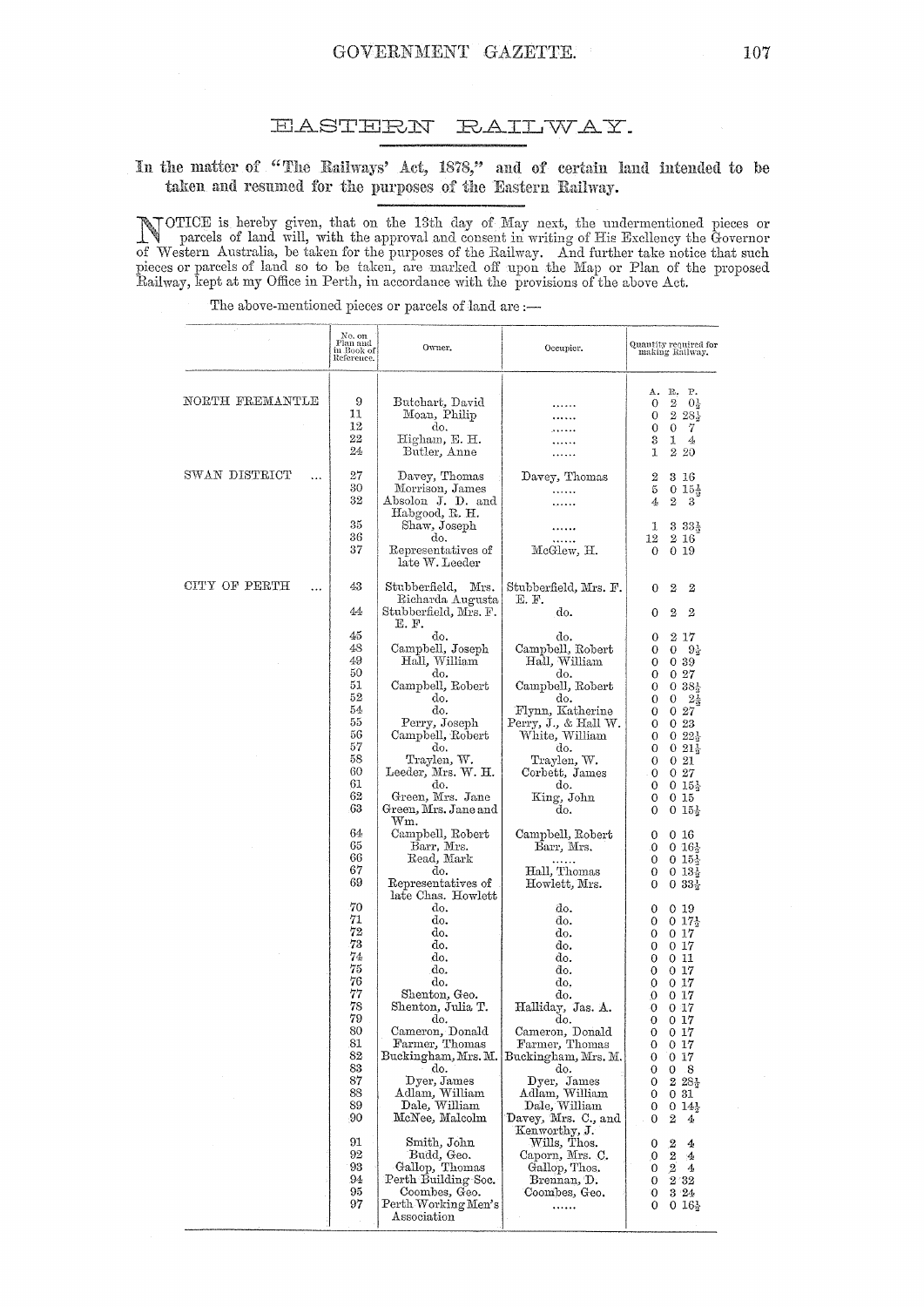#### **EASTERN** RAILWAY.

# In the matter of "The Railways' Act, 1878," and of certain land intended to be taken and resumed for the purposes of the Eastern Railway.

NOTICE is hereby given, that on the 13th day of May next, the undermentioned pieces or parcels of land will, with the approval and consent in writing of His Excllency the Governor of Western Australia, be taken for the pur

The above-mentioned pieces or parcels of land are :-

|                            | No. on<br>Plan and<br>in Book of<br>Reference.                                                                                         | Owner.                                                                                                                                                                                                                                                                                                                                                                                                  | Occupier.                                                                                                                                                                                                                                                                                            | Quantity required for<br>making Railway.                                                                                                                                                                                                                                                                                                                                                                                                                                    |
|----------------------------|----------------------------------------------------------------------------------------------------------------------------------------|---------------------------------------------------------------------------------------------------------------------------------------------------------------------------------------------------------------------------------------------------------------------------------------------------------------------------------------------------------------------------------------------------------|------------------------------------------------------------------------------------------------------------------------------------------------------------------------------------------------------------------------------------------------------------------------------------------------------|-----------------------------------------------------------------------------------------------------------------------------------------------------------------------------------------------------------------------------------------------------------------------------------------------------------------------------------------------------------------------------------------------------------------------------------------------------------------------------|
| NORTH FREMANTLE            | 9<br>11<br>12<br>$^{22}$<br>24                                                                                                         | Butchart, David<br>Moan, Philip<br>do.<br>Higham, E. H.<br>Butler, Anne                                                                                                                                                                                                                                                                                                                                 |                                                                                                                                                                                                                                                                                                      | P.<br>А.<br>R.<br>$^{2}$<br>0<br>$0\frac{1}{2}$<br>228<br>0<br>$\theta$<br>7<br>0<br>3<br>1<br>4<br>1<br>$2\,20$                                                                                                                                                                                                                                                                                                                                                            |
| SWAN DISTRICT<br>.         | 27<br>30<br>32                                                                                                                         | Davey, Thomas<br>Morrison, James<br>Absolon J. D. and                                                                                                                                                                                                                                                                                                                                                   | Davey, Thomas<br>.<br>.                                                                                                                                                                                                                                                                              | 2<br>3 16<br>5<br>$0.15\frac{1}{2}$<br>2<br>3<br>4                                                                                                                                                                                                                                                                                                                                                                                                                          |
|                            | 35<br>36<br>37                                                                                                                         | Habgood, R. H.<br>Shaw, Joseph<br>do.<br>Representatives of<br>late W. Leeder                                                                                                                                                                                                                                                                                                                           | McGlew, H.                                                                                                                                                                                                                                                                                           | $33.33\frac{1}{2}$<br>1<br>2 16<br>12<br>0<br>0 19                                                                                                                                                                                                                                                                                                                                                                                                                          |
| CITY OF PERTH<br>$\ddotsc$ | 43<br>44                                                                                                                               | Stubberfield,<br>Mrs.<br>Richarda Augusta                                                                                                                                                                                                                                                                                                                                                               | Stubberfield, Mrs. F.<br>E. F.<br>do.                                                                                                                                                                                                                                                                | 2<br>2<br>0<br>$\overline{2}$<br>$\overline{2}$                                                                                                                                                                                                                                                                                                                                                                                                                             |
|                            | 45<br>48<br>49<br>50<br>51<br>52<br>54<br>55<br>56<br>57<br>58<br>60<br>61<br>62<br>63<br>64<br>65<br>66<br>67<br>69<br>70<br>71<br>72 | Stubberfield, Mrs. F.<br>E. F.<br>do.<br>Campbell, Joseph<br>Hall, William<br>do.<br>Campbell, Robert<br>do.<br>do.<br>Perry, Joseph<br>Campbell, Robert<br>do.<br>Traylen, W.<br>Leeder, Mrs. W. H.<br>do.<br>Green, Mrs. Jane<br>Green, Mrs. Jane and<br>$\operatorname{Wm}.$<br>Campbell, Robert<br>Barr, Mrs.<br>Read, Mark<br>do.<br>Representatives of<br>late Chas. Howlett<br>do.<br>do.<br>do. | do.<br>Campbell, Robert<br>Hall, William<br>do.<br>Campbell, Robert<br>do.<br>Flynn, Katherine<br>Perry, J., & Hall W.<br>White, William<br>do.<br>Traylen, W.<br>Corbett, James<br>do.<br>King, John<br>do.<br>Campbell, Robert<br>Barr, Mrs.<br>Hall, Thomas<br>Howlett, Mrs.<br>do.<br>do.<br>do. | 0<br>$2\;17$<br>0<br>$9\frac{1}{2}$<br>0<br>0<br>0<br>0.39<br>0<br>027<br>$0.38\frac{1}{3}$<br>0<br>0<br>0<br>$2\frac{1}{2}$<br>027<br>0<br>023<br>0<br>$0.22\frac{1}{3}$<br>0<br>$0.21\frac{1}{3}$<br>0<br>0<br>021<br>027<br>0<br>0<br>$0.15\frac{1}{3}$<br>0<br>0 15<br>$015\frac{1}{2}$<br>0<br>0<br>0 16<br>0<br>$0.16\frac{1}{2}$<br>$015\frac{1}{3}$<br>0<br>0<br>$0.13\frac{1}{3}$<br>$0.33\frac{1}{2}$<br>0<br>0 19<br>0<br>$0.17\frac{1}{2}$<br>0<br>$0\;17$<br>0 |
|                            | 73<br>74<br>75<br>76<br>77<br>78<br>79<br>80<br>81<br>82<br>83<br>87<br>88<br>89<br>90                                                 | do.<br>do.<br>do.<br>do.<br>Shenton, Geo.<br>Shenton, Julia T.<br>do.<br>Cameron, Donald<br>Farmer, Thomas<br>Buckingham, Mrs. M.<br>do.<br>Dyer, James<br>Adlam, William<br>Dale, William<br>McNee, Malcolm                                                                                                                                                                                            | do.<br>do.<br>do.<br>do.<br>do.<br>Halliday, Jas. A.<br>do.<br>Cameron, Donald<br>Farmer, Thomas<br>Buckingham, Mrs. M.<br>do.<br>Dyer, James<br>Adlam, William<br>Dale, William<br>Davey, Mrs. C., and<br>Kenworthy, J.                                                                             | 0 17<br>0<br>011<br>0<br>$0\,17$<br>0<br>0 17<br>0<br>0 17<br>0<br>017<br>0<br>017<br>0<br>0<br>0 <sub>17</sub><br>0<br>0 17<br>0 17<br>0<br>0<br>-8<br>0<br>$228\frac{1}{2}$<br>0<br>0 31<br>0<br>$014\frac{1}{3}$<br>0<br>2<br>0<br>4                                                                                                                                                                                                                                     |
|                            | 91<br>92<br>93<br>94<br>95<br>97                                                                                                       | Smith, John<br>Budd, Geo.<br>Gallop, Thomas<br>Perth Building Soc.<br>Coombes, Geo.<br>Perth Working Men's<br>Association                                                                                                                                                                                                                                                                               | Wills, Thos.<br>Caporn, Mrs. C.<br>Gallop, Thos.<br>Brennan, D.<br>Coombes, Geo.<br>.                                                                                                                                                                                                                | $\boldsymbol{2}$<br>0<br>4<br>$\boldsymbol{2}$<br>0<br>4<br>$\overline{2}$<br>0<br>4<br>2.32<br>$\mathbf{O}$<br>3.24<br>0<br>0<br>$016\frac{1}{2}$                                                                                                                                                                                                                                                                                                                          |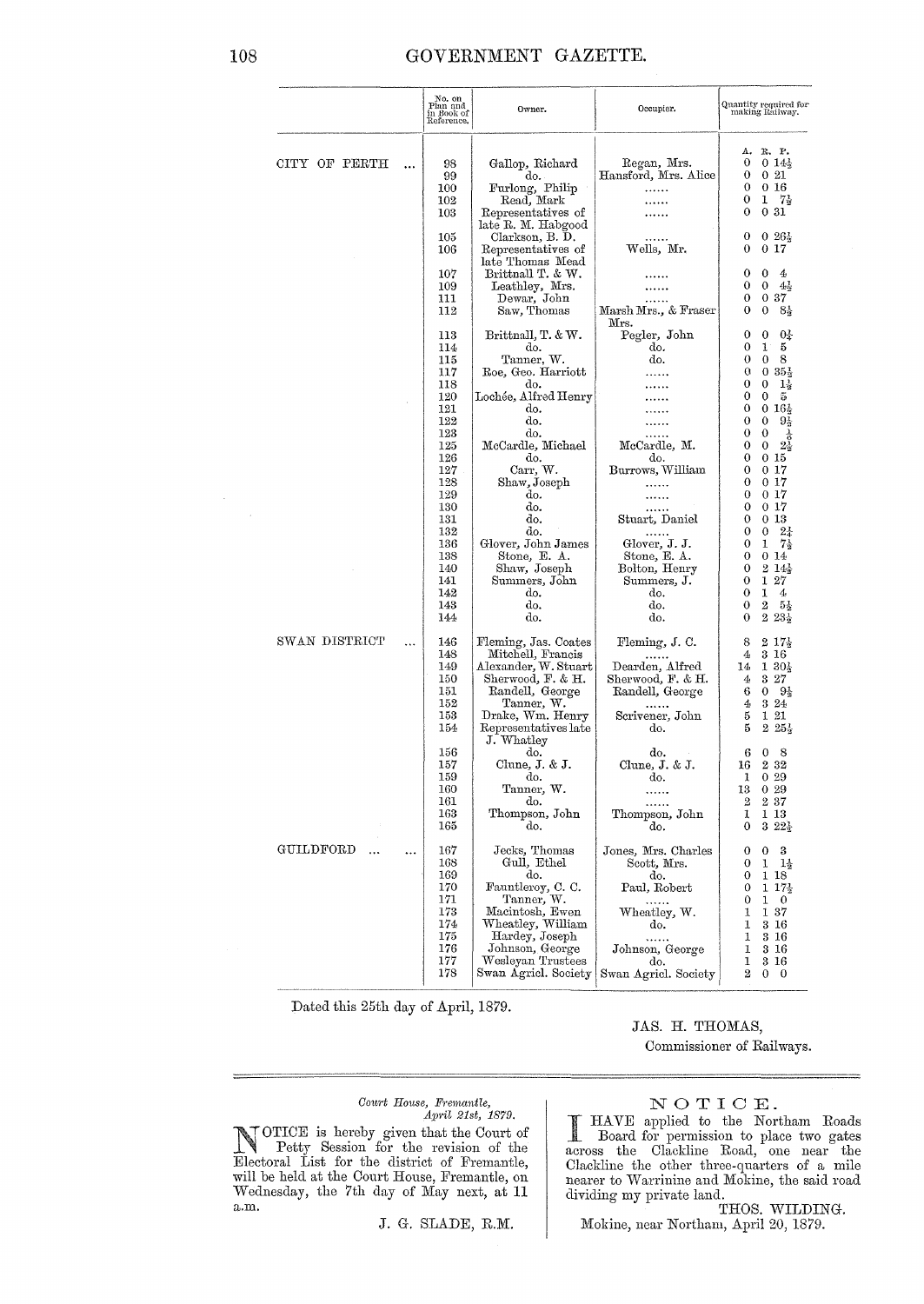### GOVERNMENT GAZETTE.

|               |           | No. on<br>Plan and<br>in Book of<br>Reference.                            | Owner.                                                                                                                                                                                           | Occupier.                                                                                                                                    | Quantity required for<br>making Railway.                                                                                                                                                                   |
|---------------|-----------|---------------------------------------------------------------------------|--------------------------------------------------------------------------------------------------------------------------------------------------------------------------------------------------|----------------------------------------------------------------------------------------------------------------------------------------------|------------------------------------------------------------------------------------------------------------------------------------------------------------------------------------------------------------|
| CITY OF PERTH | .         | 98<br>99<br>100<br>102                                                    | Gallop, Richard<br>do.<br>Furlong, Philip<br>Read, Mark                                                                                                                                          | Regan, Mrs.<br>Hansford, Mrs. Alice<br>.                                                                                                     | R. P.<br>Δ.<br>0<br>$014\frac{1}{3}$<br>0<br>021<br>0<br>016<br>0<br>1<br>- 75<br>0<br>031                                                                                                                 |
|               |           | 103<br>105<br>106                                                         | Representatives of<br>late R. M. Habgood<br>Clarkson, B. D.<br>Representatives of<br>late Thomas Mead                                                                                            | <br>Wells, Mr.                                                                                                                               | 0<br>$0.26\frac{1}{2}$<br>017<br>0                                                                                                                                                                         |
|               |           | 107<br>109<br>111<br>112                                                  | Brittnall T. & W.<br>Leathley, Mrs.<br>Dewar, John<br>Saw, Thomas                                                                                                                                | Marsh Mrs., & Fraser                                                                                                                         | $\mathbf 0$<br>0<br>4<br>0<br>0<br>$4\frac{1}{2}$<br>$\mathbf{0}$<br>037<br>0<br>$\mathbf 0$<br>$8\frac{1}{2}$                                                                                             |
|               |           | 113<br>114<br>115<br>117<br>118                                           | Brittnall, T. & W.<br>do.<br>Tanner, W.<br>Roe, Geo. Harriott<br>do.                                                                                                                             | Mrs.<br>Pegler, John<br>do.<br>do.                                                                                                           | 0<br>04<br>0<br>1<br>0<br>5<br>0<br>$\mathbf{0}$<br>8<br>$0.35\frac{1}{2}$<br>0<br>0<br>0<br>$1\frac{1}{2}$                                                                                                |
|               |           | 120<br>121<br>122<br>123<br>125                                           | Lochée, Alfred Henry<br>do.<br>do.<br>do.<br>McCardle, Michael                                                                                                                                   | McCardle, M.                                                                                                                                 | 0<br>0<br>5<br>$0.16\frac{1}{3}$<br>0<br>$\theta$<br>$\bf{0}$<br>$9\frac{1}{2}$<br>$\frac{1}{6}$<br>0<br>0<br>0<br>0<br>$2\lambda$                                                                         |
|               |           | 126<br>127<br>128<br>129<br>130                                           | do.<br>Carr, W.<br>Shaw, Joseph<br>do.<br>do.                                                                                                                                                    | do.<br>Burrows, William<br>.<br>                                                                                                             | 0<br>015<br>017<br>0<br>0<br>$0\,17$<br>$\bf{0}$<br>$0\,17$<br>017<br>0                                                                                                                                    |
|               |           | 131<br>132<br>136<br>138<br>140<br>141<br>142<br>143<br>144               | do.<br>do.<br>Glover, John James<br>Stone, E. A.<br>Shaw, Joseph<br>Summers, John<br>do.<br>do.<br>do.                                                                                           | Stuart, Daniel<br>.<br>Glover, J. J.<br>Stone, E. A.<br>Bolton, Henry<br>Summers, J.<br>do.<br>do.<br>do.                                    | 0 13<br>0<br>$2\frac{1}{4}$<br>0<br>0<br>$7\frac{1}{2}$<br>1<br>0<br>0<br>014<br>214<br>0<br>127<br>0<br>1<br>0<br>4<br>0<br>$\boldsymbol{2}$<br>$5\frac{1}{2}$<br>$2.23\frac{1}{2}$<br>0                  |
| SWAN DISTRICT | $\cdots$  | 146<br>148<br>149<br>150<br>151<br>152<br>153<br>154                      | Fleming, Jas. Coates<br>Mitchell, Francis<br>Alexander, W. Stuart<br>Sherwood, F. & H.<br>Randell, George<br>Tanner, W.<br>Drake, Wm. Henry<br>Representatives late                              | Fleming, J. C.<br>Dearden, Alfred<br>Sherwood, F. & H.<br>Randell, George<br>Scrivener, John<br>do.                                          | 8<br>$217\frac{1}{2}$<br>4<br>3 16<br>$130\frac{1}{3}$<br>14<br>3 27<br>4<br>6<br>0<br>$9\frac{1}{2}$<br>324<br>4<br>121<br>5<br>5<br>$2\,25\frac{1}{2}$                                                   |
|               |           | 156<br>157<br>159<br>160<br>161<br>163<br>165                             | J. Whatley<br>do.<br>Clune, J. & J.<br>do.<br>Tanner, W.<br>do.<br>Thompson, John<br>do.                                                                                                         | do.<br>Clune, J. & J.<br>do.<br><br>.<br>Thompson, John<br>do.                                                                               | 6<br>8<br>0<br>232<br>16<br>029<br>1<br>029<br>13<br>2<br>$2\,37$<br>1<br>1 13<br>$322\frac{1}{2}$<br>0                                                                                                    |
| GUILDFORD<br> | $\ddotsc$ | 167<br>168<br>169<br>170<br>171<br>173<br>174<br>175<br>176<br>177<br>178 | Jecks, Thomas<br>Gull, Ethel<br>do.<br>Fauntleroy, C. C.<br>Tanner. W.<br>Macintosh, Ewen<br>Wheatley, William<br>Hardey, Joseph<br>Johnson, George<br>Wesleyan Trustees<br>Swan Agricl. Society | Jones, Mrs. Charles<br>Scott, Mrs.<br>do.<br>Paul, Robert<br>.<br>Wheatley, W.<br>do.<br>.<br>Johnson, George<br>do.<br>Swan Agricl. Society | 3<br>0<br>0<br>$1\frac{1}{2}$<br>0<br>1<br>0<br>1 18<br>$117\frac{1}{3}$<br>0<br>0<br>1<br>$\bf{0}$<br>1<br>1 37<br>1<br>$3\,16$<br>1<br>316<br>1<br>3 16<br>1<br>$3\;16$<br>2<br>$\mathbf{0}$<br>$\bf{0}$ |

Dated this 25th day of April, 1879.

### JAS. H. THOMAS, Commissioner of Railways.

# $\begin{tabular}{ll} Court & House, {\it {\it Frameantle}}, \\ & April & 21st, \ 1879. \end{tabular}$

NOTICE is hereby given that the Court of<br>Electoral List for the revision of the<br>Electoral List for the district of Fremantle,<br>will be held at the Court House, Fremantle, on Wednesday, the 7th day of May next, at 11  $_{\mathrm{a.m.}}$ 

J. G. SLADE, R.M.

NOTICE.<br>
I HAVE applied to the Northam Roads<br>
Board for permission to place two gates<br>
across the Clackline Road, one near the Clackline the other three-quarters of a mile<br>nearer to Warrinine and Mokine, the said road dividing my private land.

THOS. WILDING.<br>Mokine, near Northam, April 20, 1879.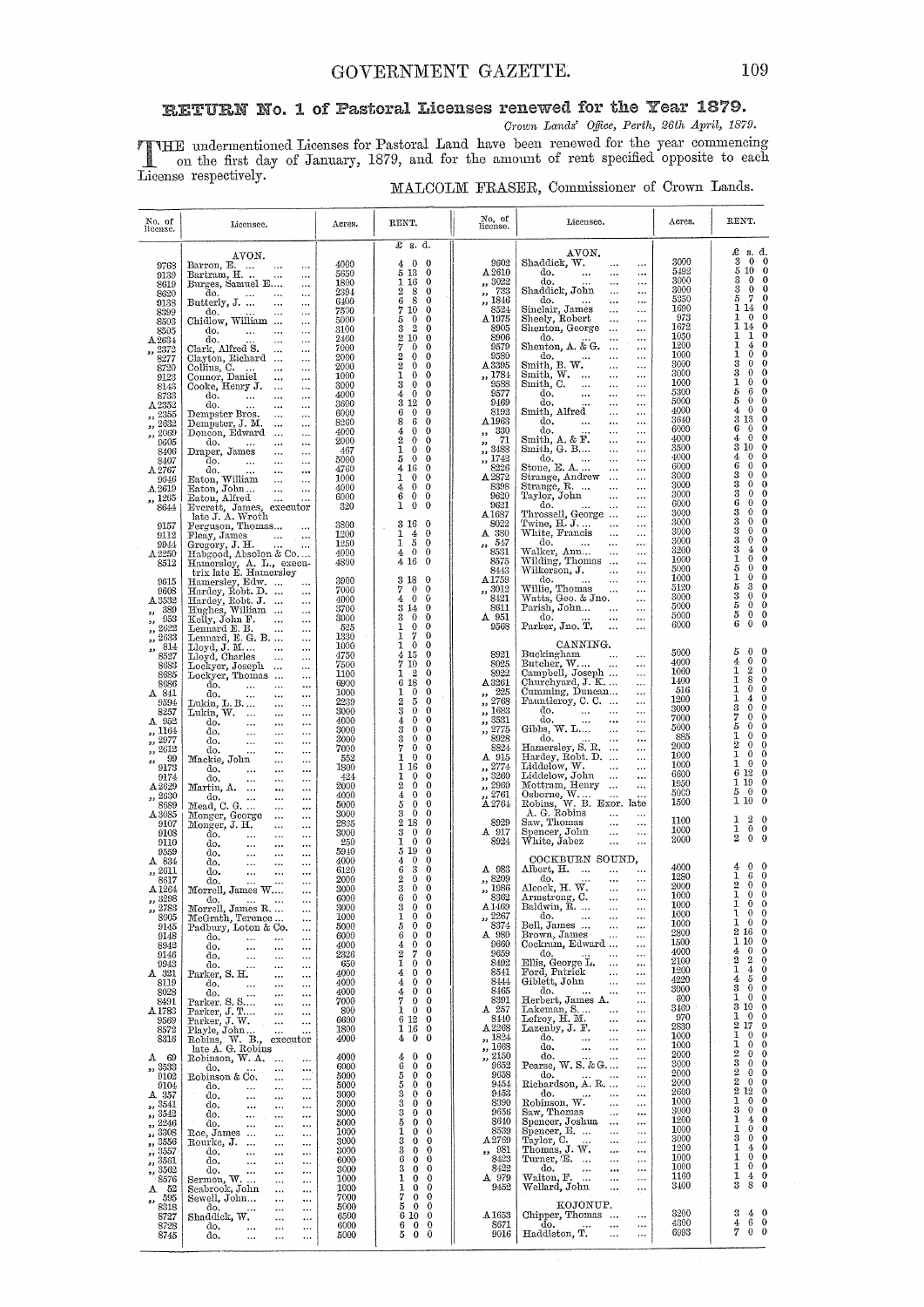Crown Lands' Office, Perth, 26th April, 1879.

THE undermentioned Licenses for Pastoral Land have been renewed for the year commencing<br>on the first day of January, 1879, and for the amount of rent specified opposite to each<br>License respectively.  $\mathbf{I}$ 

| MALCOLM FRASER, Commissioner of Crown Lands. |  |  |  |  |
|----------------------------------------------|--|--|--|--|
|----------------------------------------------|--|--|--|--|

| No. of<br>license.                                                                                                                                             | Licensee.                                                                                                                                                                                                                                                                                                                                                                                                                                                                                                                                                                                                                                          | Acres.                                                                                                                      | RENT.                                                                                                                                                                                                                                                                                                                                                                                                                                                                                                                                                  | No, of<br>license.                                                                                                                                                     | Licensee.                                                                                                                                                                                                                                                                                                                                                                                                                                                                                                                                                                                          | Acres.                                                                                                                       | RENT.                                                                                                                                                                                                                                                                                                                                                                                                                                          |
|----------------------------------------------------------------------------------------------------------------------------------------------------------------|----------------------------------------------------------------------------------------------------------------------------------------------------------------------------------------------------------------------------------------------------------------------------------------------------------------------------------------------------------------------------------------------------------------------------------------------------------------------------------------------------------------------------------------------------------------------------------------------------------------------------------------------------|-----------------------------------------------------------------------------------------------------------------------------|--------------------------------------------------------------------------------------------------------------------------------------------------------------------------------------------------------------------------------------------------------------------------------------------------------------------------------------------------------------------------------------------------------------------------------------------------------------------------------------------------------------------------------------------------------|------------------------------------------------------------------------------------------------------------------------------------------------------------------------|----------------------------------------------------------------------------------------------------------------------------------------------------------------------------------------------------------------------------------------------------------------------------------------------------------------------------------------------------------------------------------------------------------------------------------------------------------------------------------------------------------------------------------------------------------------------------------------------------|------------------------------------------------------------------------------------------------------------------------------|------------------------------------------------------------------------------------------------------------------------------------------------------------------------------------------------------------------------------------------------------------------------------------------------------------------------------------------------------------------------------------------------------------------------------------------------|
| 9768<br>9139<br>8619<br>8620<br>9138<br>8399<br>8503<br>8505<br>A 2634<br>,, 2372<br>8277                                                                      | AVON.<br>Barron, E.<br><br>Bartram, H.<br>$\cdots$<br>Burges, Samuel E<br><br>do.<br>$\ldots$<br><br>Butterly, J.<br>$\ldots$<br>$\cdots$<br>do.<br><br>Chidlow, William<br><br>do.<br>$\ldots$<br><br>$\ldots$<br>do.<br><br>$\cdots$<br>Clark, Alfred S.<br>$\cdots$<br><br>Clayton, Richard                                                                                                                                                                                                                                                                                                                                                     | 4000<br>5650<br>1800<br>2394<br>6400<br>7500<br>5000<br>3100<br>2460<br>7000<br>2000                                        | $\pounds$ s. d.<br>$\mathbf{0}$<br>$\bf{0}$<br>4<br>5 13<br>$\mathbf 0$<br>1 16<br>$\bf{0}$<br>2<br>8<br>$\bf{0}$<br>6<br>8<br>0<br>7 10<br>$\mathbf 0$<br>$\mathbf{0}$<br>$\mathbf 0$<br>5<br>$\bf{3}$<br>$\overline{2}$<br>$\mathbf 0$<br>210<br>$\mathbf 0$<br>7<br>$\theta$<br>$\bf{0}$<br>$\overline{2}$<br>$\mathbf 0$<br>$\mathbf 0$                                                                                                                                                                                                            | 9602<br>A 2610<br>,, 3022<br>$\frac{783}{1846}$<br>8524<br>A 1975<br>8905<br>8906<br>9579<br>9580                                                                      | AVON.<br>Shaddick, W.<br>$\cdots$<br>do.<br>$\cdots$<br>do.<br>$\cdots$<br>Shaddick, John<br>$\ldots$<br>$\cdots$<br>do.<br><br>sinclair, James<br><br>$\ldots$<br>Sheely, Robert<br>$\ddotsc$<br>$\ddotsc$<br>Shenton, George<br>$\cdots$<br><br>do.<br><br>Shenton, A. & G.<br>$\ldots$<br>$\ddotsc$<br>do.<br>$\ddotsc$                                                                                                                                                                                                                                                                         | 3000<br>5492<br>3000<br>3000<br>5350<br>1690<br>973<br>1672<br>1050<br>1200<br>1000                                          | £<br>s. d.<br>$\bf{3}$<br>$\bf{0}$<br>$\mathbf{0}$<br>5<br>10<br>$\bf{0}$<br>$\bf{0}$<br>3<br>0<br>3<br>$\mathbf 0$<br>0<br>7<br>$\mathbf{0}$<br>5<br>1 14<br>$\bf{0}$<br>1<br>$\bf{0}$<br>$\bf{0}$<br>1 14<br>0<br>ı<br>0<br>1<br>1<br>0<br>4<br>1<br>$\theta$<br>$\bf{0}$                                                                                                                                                                    |
| 8720<br>9123<br>8143<br>8733<br>A2352<br>2355<br>,,<br>,, 2632<br>, 2069<br>9605<br>8406<br>8407<br>A2767<br>9646<br>$A\,2619$<br>,, 1265<br>8644              | $\cdots$<br>Collins, C.<br>$\ddotsc$<br><br>Connor, Daniel<br>Cooke, Henry J.<br><br>$\cdots$<br>$\ldots$<br><br>do.<br>$\ddotsc$<br>$\ddotsc$<br>$\cdots$<br>do.<br>$\cdots$<br><br>$\cdots$<br>Dempster Bros.<br>$\cdots$<br>$\ldots$<br>Dempster, J. M.<br><br><br>Doncon, Edward<br>$\ldots$<br>do.<br>$\sim$<br>$\cdots$<br>$\cdots$<br>Draper, James<br>$\cdots$<br><br>do.<br>$\sim$ and<br>$\cdots$<br><br>do.<br>$\ddotsc$<br>$\cdots$<br>$\cdots$<br>Eaton, William<br>$\ldots$<br>$\ldots$<br>Eaton, John<br>$\cdots$<br><br>Eaton, Alfred<br>$\ddotsc$<br><br>Everett, James, executor                                                 | 2000<br>1000<br>3000<br>4000<br>3600<br>6000<br>8260<br>4000<br>2000<br>467<br>5000<br>4760<br>1000<br>4000<br>6000<br>320  | $\overline{2}$<br>$\mathbf 0$<br>$\theta$<br>ı<br>$\bf{0}$<br>$\mathbf 0$<br>$\mathbf{0}$<br>3<br>$\mathbf{0}$<br>4<br>$\overline{0}$<br>$\mathbf 0$<br>$3\,$ $12\,$<br>$\bf{0}$<br>6<br>$\ddot{\mathbf{0}}$<br>$\bf{0}$<br>$\epsilon$<br>8<br>$\mathbf 0$<br>$\mathbf 0$<br>4<br>$\bf{0}$<br>$\overline{2}$<br>$\mathbf 0$<br>$\bf{0}$<br>$\mathbf 0$<br>1<br>$\bf{0}$<br>$\overline{0}$<br>5<br>$\bf{0}$<br>4 16<br>$\mathbf 0$<br>1<br>$\bf{0}$<br>$\mathbf 0$<br>$\theta$<br>4<br>$\mathbf 0$<br>6<br>$\bf{0}$<br>$\bf{0}$<br>$1\quad$<br>$\bf{0}$ | A 3395<br>,, 1784<br>9588<br>9577<br>9469<br>8192<br>A <sub>1963</sub><br>,, 330<br>71<br>,,<br>3488<br>وو<br>, 1742<br>8226<br>$\Delta\,2872$<br>8398<br>9620<br>9621 | Smith, B. W.<br>$\ldots$<br>Smith, W.<br><br>$\ldots$<br>Smith, C.<br>$\ldots$<br><br>$\cdots$<br>do.<br>$\cdots$<br><br>$\ldots$<br>do.<br>$\ldots$<br><br>Smith, Alfred<br>$\ldots$<br><br>do.<br>$\cdots$<br>$\ldots$<br>do.<br>$\cdots$<br>$\cdots$<br>Smith, A. & F.<br>$\ldots$<br>$\ddotsc$<br>Smith, G. B<br><br>$\cdots$<br>do.<br>$\cdots$<br>$\ldots$<br>Stone, E. A<br>$\ldots$<br>$\ldots$<br>Strange, Andrew<br>$\ldots$<br>$\ldots$<br>Strange, R.<br>$\ldots$<br>$\ldots$<br>Taylor, John<br>$\cdots$<br>$\ddotsc$<br>do.<br>$\ddotsc$                                             | 3000<br>3000<br>1000<br>5300<br>5000<br>4000<br>3640<br>6000<br>4000<br>3500<br>4000<br>6000<br>3000<br>3000<br>3000<br>6000 | 3<br>0<br>0<br>3<br>$\mathbf 0$<br>0<br>1<br>$\bf{0}$<br>0<br>5<br>$\bf{0}$<br>6<br>5<br>$\Omega$<br>0<br>0<br>4<br>$\Omega$<br>3 13<br>$\bf{0}$<br>6<br>0<br>$\theta$<br>$\bf{0}$<br>$\theta$<br>4<br>3<br>10<br>0<br>0<br>4<br>$\Omega$<br>6<br>0<br>$\mathbf{0}$<br>0<br>3<br>$\theta$<br>3<br>$\theta$<br>$\bf{0}$<br>3<br>$\theta$<br>0<br>6<br>0<br>$\theta$                                                                             |
| 9157<br>9112<br>9944<br>A2250<br>8512<br>9615<br>9608<br>A 3532<br>389<br>,,<br>953<br>,,<br>2622                                                              | late J. A. Wroth<br>Ferguson, Thomas<br>Fleay, James<br>$\cdots$<br>Gregory, J. H.<br>Habgood, Absolon & Co<br>Hamersley, A. L., execu-<br>trix late E. Hamersley<br>Hamersley, Edw.<br>$\cdots$<br>Hardey, Robt. D.<br>Hardey, Robt. J.<br>$\cdots$<br>$\cdots$<br>Hughes, William<br>$\cdots$<br>Kelly, John F.<br>$\cdots$                                                                                                                                                                                                                                                                                                                      | 3800<br>1200<br>1250<br>4000<br>4800<br>3900<br>7000<br>4000<br>3700<br>3000<br>525                                         | 3 16<br>$\theta$<br>$\overline{4}$<br>$\theta$<br>1<br>1<br>5<br>$\mathbf 0$<br>$4\quad 0$<br>$\theta$<br>4 16<br>$\bf{0}$<br>3 18<br>$\theta$<br>$\mathbf{0}$<br>$\theta$<br>7<br>$\theta$<br>0<br>4<br>314<br>$\bf{0}$<br>$\mathbf{3}$<br>$\overline{0}$<br>$\bf{0}$<br>$\mathbf{0}$<br>1<br>0                                                                                                                                                                                                                                                       | $\Delta 1687$<br>8022<br>A 380<br>, 547<br>8531<br>8575<br>8443<br>A 1759<br>,, 3012<br>8421<br>8611<br>A 951<br>9568                                                  | Throssell, George<br>$\ldots$<br>Twine, H.J<br>$\ddotsc$<br>$\ldots$<br>White, Francis<br>$\ddotsc$<br>do.<br>$\cdots$<br>$\cdots$<br>Walker, Ann<br>$\cdots$<br>Wilding, Thomas<br>$\cdots$<br>Wilkerson, J.<br>$\sim$<br>$\cdots$<br>do.<br>$\ldots$<br>Willie, Thomas<br><br>Watts, Geo. & Jno.<br>$\cdots$<br>Parish, John<br>$\cdots$<br>do.<br>$\ldots$<br>Parker, Jno. T.<br>$\ddotsc$                                                                                                                                                                                                      | 3000<br>3000<br>3000<br>3000<br>3200<br>1000<br>5000<br>1000<br>5120<br>3000<br>5000<br>5000<br>6000                         | 3<br>$\Omega$<br>0<br>3<br>0<br>$\bf{0}$<br>3<br>0<br>0<br>3<br>0<br>0<br>3<br>$\bf{0}$<br>4<br>1<br>$\bf{0}$<br>0<br>5<br>$\bf{0}$<br>0<br>1<br>$\bf{0}$<br>$\theta$<br>5<br>3<br>0<br>3<br>$\bf{0}$<br>$\mathbf{0}$<br>$\frac{5}{5}$<br>$\bf{0}$<br>$\mathbf{0}$<br>$\mathbf{0}$<br>0<br>6<br>0<br>0                                                                                                                                         |
| ,,<br>2633<br>$\overline{\phantom{a}}$<br>814<br>,,,<br>8527<br>8683<br>8685<br>8686<br>$A$ 841<br>9594<br>8257<br>A 952<br>,, 1164<br>2977<br>,,              | Lennard E. B.<br>$\cdots$<br>Lennard, E. G. B.<br>$\ddotsc$<br>Lloyd, J. M<br>$\ddotsc$<br>Lloyd, Charles<br>$\ddotsc$<br>$\ldots$<br>Lockyer, Joseph<br><br>Lockyer, Thomas<br>$\cdots$<br>do.<br>$\cdots$<br><br>$\ldots$<br>do.<br>$\ddotsc$<br>$\ddotsc$<br>$\cdots$<br>Lukin, L. B.<br>$\cdots$<br>$\ldots$<br>Lukin, W.<br>$\ldots$<br>$\cdots$<br>do.<br>$\ldots$<br>$\ldots$<br>$\cdots$<br>do.<br>$\ddotsc$<br>$\cdots$<br>$\ddotsc$<br>do.<br>$\ldots$<br>$\cdots$<br>$\cdots$                                                                                                                                                           | 1330<br>1000<br>4750<br>7500<br>1100<br>6900<br>1000<br>2239<br>3000<br>4000<br>3000<br>3000                                | 1<br>7<br>$\bf{0}$<br>$1\overline{0}$<br>$\mathbf 0$<br>415<br>$\mathbf{0}$<br>7 10<br>$\bf{0}$<br>$1 \t2$<br>$\bf{0}$<br>6 18<br>$\mathbf 0$<br>$\theta$<br>$\bf{0}$<br>1<br>$\rm{2}$<br>5<br>$\bf{0}$<br>$\rm 3$<br>$\bf{0}$<br>$\bf{0}$<br>$\mathbf{0}$<br>$\mathbf 0$<br>4<br>3<br>$\bf{0}$<br>$\mathbf 0$<br>3<br>$\mathbf{0}$<br>$\mathbf 0$                                                                                                                                                                                                     | 8921<br>8025<br>8922<br>A3261<br>225<br>$^{\tiny{\text{ss}}}$<br>2768<br>,,<br>, 1683<br>$, \frac{2531}{3531}$<br>$\ldots$ 2775<br>8928                                | CANNING.<br>Buckingham<br>Butcher, W<br>Campbell, Joseph<br>$\ddotsc$<br>$\ddotsc$<br>Churchyard, J. K<br>$\ddotsc$<br>Cumming, Duncan<br>$\ldots$<br>Fauntleroy, C. C.<br>$\cdots$<br>do.<br>$\ldots$<br>$\cdots$<br>do.<br>$\cdots$<br>$\ddotsc$<br><br>Gibbs, W. L<br>$\cdots$<br>$\ddotsc$<br>do.<br>                                                                                                                                                                                                                                                                                          | 5000<br>4000<br>1060<br>1400<br>516<br>1200<br>3000<br>7000<br>5000<br>885                                                   | 5<br>$\bf{0}$<br>$\theta$<br>$\bf{0}$<br>4<br>0<br>1<br>2<br>$\bf{0}$<br>$\bf{0}$<br>1<br>8<br>$\bf{0}$<br>$\bf{0}$<br>ı<br>$\bf{0}$<br>ı<br>4<br>3<br>$\bf{0}$<br>$\mathbf{0}$<br>7<br>$\mathbf{0}$<br>$\mathbf{0}$<br>5<br>$\mathbf{0}$<br>$\theta$<br>1<br>0<br>$\bf{0}$                                                                                                                                                                    |
| ,, 2612<br>99<br>44<br>9173<br>9174<br>A2629<br>2630<br>,,<br>8689<br>A 3085<br>9107<br>9108<br>9110                                                           | do.<br>$\ddotsc$<br>$\ddotsc$<br><br>Mackie, John<br>$\cdots$<br>$\cdots$<br>do.<br>$\ddotsc$<br>$\ddotsc$<br>$\cdots$<br>do.<br>$\cdots$<br>$\ddotsc$<br>$\cdots$<br>Martin, A<br>$\ddotsc$<br><br>do.<br>$\ldots$<br>$\ddotsc$<br>$\ddotsc$<br>Mead, C. G.<br>$\ldots$<br>$\ddotsc$<br>Monger, George<br>$\ddotsc$<br>$\ddotsc$<br>Monger, J. H.<br>$\ddotsc$<br>$\ddotsc$<br>do.<br>$\ddotsc$<br>$\cdots$<br>$\cdots$<br>do.<br>$\ddotsc$<br>$\cdots$<br>$\cdots$                                                                                                                                                                               | 7000<br>552<br>1800<br>424<br>2000<br>4000<br>5000<br>3000<br>2865<br>3000<br>250                                           | 7<br>$\bf{0}$<br>$\mathbf 0$<br>ì<br>$\mathbf{0}$<br>$\mathbf 0$<br>1 16<br>$\mathbf{0}$<br>$\theta$<br>$\theta$<br>1<br>$\,2$<br>$\theta$<br>$\theta$<br>$\mathbf{0}$<br>4<br>$\mathbf 0$<br>5<br>$\bf{0}$<br>$\mathbf 0$<br>$\bf{3}$<br>$\theta$<br>$\theta$<br>2 1 8<br>$\mathbf{0}$<br>$\bf{0}$<br>3<br>$\mathbf{0}$<br>$\overline{0}$<br>$\mathbf{0}$<br>1                                                                                                                                                                                        | 8824<br>A 915<br>,, 2774<br>, 9260<br>$\frac{1}{2}$ , 2960<br>2761<br>$\rm A\,2764$<br>8929<br>A 917<br>8924                                                           | Hamersley, S. R.<br>$\cdots$<br>$\cdots$<br>Hardey, Robt. D.<br>$\cdots$<br>Liddelow, W.<br>$\ddotsc$<br><br>Liddelow, John<br>$\ddotsc$<br>$\ddotsc$<br>Mottram, Henry<br>$\ldots$<br>Osborne, W.<br>Robins, W. B. Exor. late<br>A. G. Robins<br>Saw, Thomas<br><br>Spencer, John<br>$\ddotsc$<br>$\cdots$<br>White, Jabez<br>$\sim$<br>$\ddotsc$                                                                                                                                                                                                                                                 | 2000<br>1000<br>1000<br>6600<br>1950<br>5000<br>1500<br>1100<br>1000<br>2000                                                 | 2<br>$\theta$<br>$\mathbf 0$<br>1<br>$\Omega$<br>$\bf{0}$<br>ı<br>$\theta$<br>$\bf{0}$<br>6 12<br>$\bf{0}$<br>1 19<br>$\bf{0}$<br>5<br>$\overline{0}$<br>$\bf{0}$<br>1 10<br>$\bf{0}$<br>1<br>2<br>$\mathbf{0}$<br>$\bf{0}$<br>1<br>$\mathbf 0$<br>2<br>$\mathbf{0}$<br>0                                                                                                                                                                      |
| 9559<br>A 834<br>2611<br>$\overline{1}$<br>8617<br>A 1264<br>3298<br>,,,<br>,, 2783<br>8605<br>9145<br>9148<br>8942<br>9146<br>9943<br>$A$ 321<br>8119<br>8028 | do.<br>$\cdots$<br>$\cdots$<br>$\cdots$<br>do.<br>$\cdots$<br>$\cdots$<br>$\ddotsc$<br>do.<br>$\cdots$<br>$\cdots$<br>$\ddotsc$<br>do.<br>$\ddotsc$<br>$\ddotsc$<br>$\cdots$<br>Morrell, James W<br>$\cdots$<br>do.<br>$\cdots$<br><br><br>Morrell, James R.<br>$\ddot{\phantom{a}}$<br>McGrath, Terence<br>$\ddotsc$<br>Padbury, Loton & Co.<br>$\ddotsc$<br>do.<br>$\ddotsc$<br>$\ddotsc$<br>$\ddotsc$<br>do,<br>$\ddotsc$<br><br>$\cdots$<br>do,<br>$\ddotsc$<br>$\ddotsc$<br>$\cdots$<br>do.<br>$\cdots$<br>$\cdots$<br>$\cdots$<br>Parker, S. H.<br>$\cdots$<br>$\cdots$<br>do.<br>$\ddotsc$<br>$\cdots$<br>$\cdots$<br>$\cdots$<br>$\ddotsc$ | 5940<br>4000<br>6120<br>2000<br>3000<br>6000<br>3000<br>1000<br>5000<br>6000<br>4000<br>2326<br>650<br>4000<br>4000<br>4000 | 5 19<br>$\mathbf 0$<br>$\bf{0}$<br>$\bf{0}$<br>4<br>3<br>$\bf 6$<br>$\mathbf{0}$<br>$\,2\,$<br>$\mathbf{0}$<br>$\mathbf{0}$<br>$\boldsymbol{3}$<br>$\mathbf{0}$<br>$\bf{0}$<br>600<br>$\mathbf 0$<br>$\frac{3}{1}$<br>$\theta$<br>$\mathbf{0}$<br>$\bf{0}$<br>$\mathbf{0}$<br>5<br>$\theta$<br>6<br>$\bf{0}$<br>$\theta$<br>$\mathbf{0}$<br>$\mathbf 0$<br>4<br>$^{2}$<br>7<br>$\bf{0}$<br>$\mathbf 0$<br>1<br>$\bf{0}$<br>4<br>$\bf{0}$<br>$\mathbf 0$<br>$\mathbf{0}$<br>$\theta$<br>4<br>$\bf{0}$<br>$\bf{0}$<br>4                                  | A 983<br>,, 8209<br>,, 1986<br>8362<br>A 1469<br>$\frac{2267}{8374}$<br>A 980<br>9660<br>9659<br>8492<br>8541<br>8444<br>8465                                          | COCKBURN SOUND.<br>Albert, H.<br>$\sim$ $\sim$ $\sim$<br>$\ddotsc$<br>do.<br>$\ddotsc$<br><br>Alcock, H. W.<br>$\ddotsc$<br>$\cdots$<br>Armstrong, C.<br>Baldwin, R.<br>$\cdots$<br>do.<br>$\cdots$<br>$\cdots$<br>$\cdots$<br>Bell, James<br>$\ddotsc$<br>$\cdots$<br>Brown, James<br>$\ddotsc$<br>$\ddotsc$<br>Cockram, Edward<br>$\ldots$<br>do.<br>$\ldots$<br>$\ddotsc$<br>Ellis, George L.<br><br>$\cdots$<br>Ford, Patrick<br>$\ldots$<br>$\ddotsc$<br>Giblett, John<br>$\ldots$<br>$\ldots$<br>do.<br>$\ddotsc$<br>$\cdots$                                                                | 4000<br>1280<br>2000<br>1000<br>1000<br>1000<br>1000<br>2800<br>1500<br>4000<br>2100<br>1200<br>4220<br>3000                 | 0<br>4<br>0<br>1<br>6<br>$\theta$<br>$\overline{2}$<br>$\theta$<br>$\theta$<br>1<br>$\mathbf{0}$<br>$\theta$<br>0<br>0<br>1<br>1<br>$\mathbf{0}$<br>0<br>1<br>0<br>0<br>2<br>$\mathbf 0$<br>16<br>1<br>0<br>10<br>$\mathbf 0$<br>4<br>0<br>$\overline{\mathbf{2}}$<br>2<br>$\bf{0}$<br>1<br>$\bf{0}$<br>4<br>4<br>5<br>$\bf{0}$<br>3<br>$\mathbf{0}$<br>0                                                                                      |
| 8491<br>A 1783<br>9569<br>8572<br>8316<br>- 69<br>А<br>,, 3533<br>9102<br>9104<br>A 357<br>,, 3541<br>, 3542<br>, 2246<br>3308<br>ää.<br>3556<br>55            | $_{\rm{Parker.~S.~S.}}^{\rm{do.}}$<br>$\ddot{\phantom{a}}$<br>$\ddotsc$<br>Parker, J. T<br>$\cdots$<br>$\ddotsc$<br>$\ddotsc$<br>$\ddotsc$<br>Playle, John<br>Robins, W. B., executor<br>late A. G. Robins<br>Robinson, W. A.<br><br>do.<br>$\ddotsc$<br><br>Robinson & Co.<br>$\ddotsc$<br>$\ddotsc$<br>do.<br>$\ddotsc$<br><br>$\cdots$<br>do.<br>$\ddotsc$<br>$\cdots$<br>$\cdots$<br>do.<br>$\ddotsc$<br>$\ddotsc$<br>$\ddotsc$<br>do.<br>$\ldots$<br>$\cdots$<br>$\cdots$<br>do.<br>$\cdots$<br>$\ddotsc$<br>$\ddotsc$<br>Roe, James<br>$\cdots$<br><br>Rourke, J.<br>$\ddotsc$<br>                                                           | 7000<br>800<br>6600<br>1800<br>4000<br>4000<br>6000<br>5000<br>5000<br>3000<br>3000<br>3000<br>5000<br>1000<br>3000         | 7<br>$\bf{0}$<br>$\bf{0}$<br>1<br>$\mathbf{0}$<br>$\mathbf 0$<br>6 12<br>$\bf{0}$<br>1 16<br>$\theta$<br>4<br>$\bf{0}$<br>0<br>$\bf{0}$<br>$\Omega$<br>4<br>6<br>$\theta$<br>0<br>$\begin{array}{c} 5 \ 3 \ 3 \end{array}$<br>$\mathbf{0}$<br>$\mathbf{0}$<br>$\mathbf{0}$<br>$\mathbf 0$<br>$\theta$<br>0<br>$\bf{0}$<br>$\theta$<br>3<br>$\mathbf 0$<br>$\mathbf{0}$<br>5<br>0<br>$\mathbf 0$<br>1<br>0<br>$\mathbf{0}$<br>3<br>$\mathbf 0$<br>$\bf{0}$                                                                                              | 8391<br>A 257<br>8440<br>A 2268<br>,, 1824<br>$\frac{1}{2}$ , 1668<br>$\frac{2150}{9652}$<br>9658<br>9454<br>9453<br>8390<br>9656<br>8640<br>8539<br>A2769             | Herbert, James A.<br><br>Lakeman, S<br>$\ldots$<br><br>Lefroy, H. M.<br>$\cdots$<br>$\cdots$<br>Lazenby, J. F.<br>$\ldots$<br>$\ldots$<br>do.<br>$\ddotsc$<br>$\ldots$<br>$\cdots$<br>do.<br>$\ldots$<br>$\cdots$<br>$\cdots$<br>do.<br>$\cdots$<br>$\ddotsc$<br>$\cdots$<br>Pearse, W. S. & G<br><br>do.<br>$\dddotsc$<br>$\ddotsc$<br><br>Richardson, A. R.<br><br>do.<br>$\cdots$<br>$\cdots$<br>Robinson, W.<br>$\ddotsc$<br>$\cdots$<br>Saw, Thomas<br>$\ldots$<br><br>Spencer, Joshua<br>$\cdots$<br>$\ddotsc$<br>Spencer, E.<br>$\ldots$<br>$\ddotsc$<br>Taylor, C.<br>$\cdots$<br>$\ldots$ | 600<br>3460<br>970<br>2830<br>1000<br>1000<br>2000<br>3000<br>2000<br>2000<br>2600<br>1000<br>3000<br>1200<br>1000<br>3000   | 1<br>0<br>$\bf{0}$<br>3<br>$\mathbf 0$<br>10<br>$\theta$<br>ı<br>$\mathbf{0}$<br>2<br>17<br>0<br>1<br>0<br>0<br>1<br>$\mathbf{0}$<br>0<br>2<br>$\theta$<br>0<br>3<br>$\theta$<br>0<br>$\overline{2}$<br>0<br>0<br>2<br>$\theta$<br>$\bf{0}$<br>$\boldsymbol{2}$<br>12<br>0<br>ı<br>$\mathbf{0}$<br>$\mathbf{0}$<br>3<br>$\mathbf{0}$<br>$\mathbf 0$<br>1<br>$\bf{0}$<br>4<br>1<br>$\mathbf{0}$<br>$\mathbf 0$<br>3<br>$\mathbf{0}$<br>$\bf{0}$ |
| 3557<br>55<br>3561<br>,,<br>3562<br>,,<br>8576<br>- 52<br>А<br>595<br>,,<br>8318<br>8727<br>8728<br>8745                                                       | do.<br>$\ddotsc$<br>$\cdots$<br><br>do.<br>$\ddotsc$<br>$\ddotsc$<br>$\ddotsc$<br>Go.<br>Seabrook, John<br>Seavrall<br><br><br><br>$\ddotsc$<br>$\ddotsc$<br><br>Sewell, John<br><br>$\ddotsc$<br>do.<br>$\ldots$<br><br><br>Shaddick, W.<br><br>$\ddotsc$<br>do.<br>$\cdots$<br>$\cdots$<br>$\ddotsc$<br>do,<br>$\ddotsc$<br>$\ldots$<br>$\ddotsc$                                                                                                                                                                                                                                                                                                | 3000<br>6000<br>3000<br>1000<br>1000<br>7000<br>5000<br>6500<br>6000<br>5000                                                | 3<br>$\mathbf 0$<br>$\mathbf{0}$<br>6<br>$\bf{0}$<br>$\mathbf 0$<br>3<br>$\sigma$<br>0<br>1<br>$\mathbf 0$<br>$\mathbf{0}$<br>1<br>$\mathbf 0$<br>0<br>7<br>$\mathbf{0}$<br>$\mathbf{0}$<br>5<br>$\bf{0}$<br>$\bf{0}$<br>6 10<br>$\mathbf{0}$<br>6<br>$\mathbf 0$<br>$\bf{0}$<br>5<br>$\bf{0}$<br>$\bf{0}$                                                                                                                                                                                                                                             | $, \frac{981}{8423}$<br>8422<br>A 979<br>9452<br>A1653<br>8671<br>9016                                                                                                 | Thomas, J. W.<br>$\cdots$<br>$\ddotsc$<br>Turner, E.<br>$\cdots$<br>$\cdots$<br>do.<br>$\ldots$<br><br>$\ldots$<br>Walton, F.<br>$\cdots$<br>$\ddotsc$<br>Wellard, John<br><br>$\cdots$<br>KOJONUP.<br>Chipper, Thomas<br><br>do.<br>$\cdots$<br>$\cdots$<br>Haddleton, T.<br>$\ddotsc$<br>$\cdots$                                                                                                                                                                                                                                                                                                | 1200<br>1000<br>1000<br>1160<br>3400<br>3200<br>4300<br>6993                                                                 | 1<br>$\theta$<br>4<br>$\mathbf{0}$<br>$\bf{0}$<br>1<br>$\mathbf 0$<br>1<br>$\mathbf{0}$<br>1<br>4<br>0<br>3<br>8<br>$\mathbf 0$<br>$\mathbf{0}$<br>3<br>4<br>$\frac{4}{7}$<br>6<br>$\bf{0}$<br>$0\quad 0$                                                                                                                                                                                                                                      |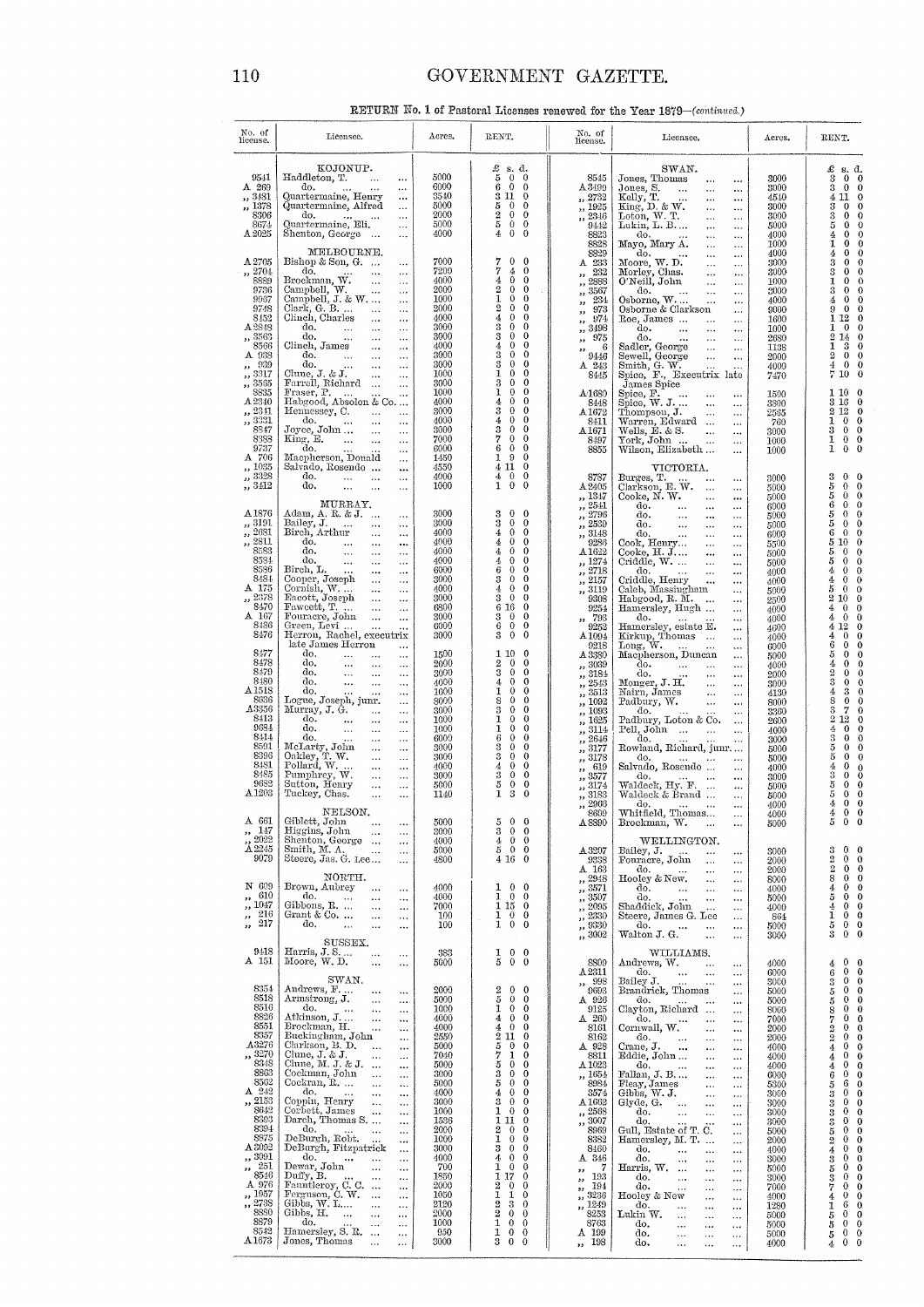# GOVERNMENT GAZETTE.

RETURN No. 1 of Pastoral Licenses renewed for the Year 1879-(continued.)

| No. of<br>license.                                                                                                                                                                                                                                                                     | Licensee.                                                                                                                                                                                                                                                                                                                                                                                                                                                                                                                                                                                                                                                                                                                                                                                                                                                                                                                                                                                                                                                                                                                                                                                                    | Acres.                                                                                                                                                                                                                                    | RENT.                                                                                                                                                                                                                                                                                                                                                                                                                                                                                                                                                                                                                                                                                                                                                                                                                                                                                                                                                                                       | No. of<br>license.                                                                                                                                                                                                                                                                                                                            | Licensee.                                                                                                                                                                                                                                                                                                                                                                                                                                                                                                                                                                                                                                                                                                                                                                                                                                                                                                                                                                                                                                                                                                                                                                                                                                                                                                                                                             | Acres.                                                                                                                                                                                                                                               | RENT.                                                                                                                                                                                                                                                                                                                                                                                                                                                                                                                                                                                                                                                                                                                                                                                                                                                                                                                                                                              |
|----------------------------------------------------------------------------------------------------------------------------------------------------------------------------------------------------------------------------------------------------------------------------------------|--------------------------------------------------------------------------------------------------------------------------------------------------------------------------------------------------------------------------------------------------------------------------------------------------------------------------------------------------------------------------------------------------------------------------------------------------------------------------------------------------------------------------------------------------------------------------------------------------------------------------------------------------------------------------------------------------------------------------------------------------------------------------------------------------------------------------------------------------------------------------------------------------------------------------------------------------------------------------------------------------------------------------------------------------------------------------------------------------------------------------------------------------------------------------------------------------------------|-------------------------------------------------------------------------------------------------------------------------------------------------------------------------------------------------------------------------------------------|---------------------------------------------------------------------------------------------------------------------------------------------------------------------------------------------------------------------------------------------------------------------------------------------------------------------------------------------------------------------------------------------------------------------------------------------------------------------------------------------------------------------------------------------------------------------------------------------------------------------------------------------------------------------------------------------------------------------------------------------------------------------------------------------------------------------------------------------------------------------------------------------------------------------------------------------------------------------------------------------|-----------------------------------------------------------------------------------------------------------------------------------------------------------------------------------------------------------------------------------------------------------------------------------------------------------------------------------------------|-----------------------------------------------------------------------------------------------------------------------------------------------------------------------------------------------------------------------------------------------------------------------------------------------------------------------------------------------------------------------------------------------------------------------------------------------------------------------------------------------------------------------------------------------------------------------------------------------------------------------------------------------------------------------------------------------------------------------------------------------------------------------------------------------------------------------------------------------------------------------------------------------------------------------------------------------------------------------------------------------------------------------------------------------------------------------------------------------------------------------------------------------------------------------------------------------------------------------------------------------------------------------------------------------------------------------------------------------------------------------|------------------------------------------------------------------------------------------------------------------------------------------------------------------------------------------------------------------------------------------------------|------------------------------------------------------------------------------------------------------------------------------------------------------------------------------------------------------------------------------------------------------------------------------------------------------------------------------------------------------------------------------------------------------------------------------------------------------------------------------------------------------------------------------------------------------------------------------------------------------------------------------------------------------------------------------------------------------------------------------------------------------------------------------------------------------------------------------------------------------------------------------------------------------------------------------------------------------------------------------------|
| 9541<br>A 269<br>,, 3481<br>,, 1378<br>8306<br>8674<br>A 2025                                                                                                                                                                                                                          | KOJONUP.<br>Haddleton, T.<br>$\sim 100$<br>$\cdots$<br>do.<br>$\sim$ 100 $\mu$<br>$\ldots$<br>Quartermaine, Henry<br><br>Quartermaine, Alfred<br>$\cdots$<br>do.<br><b>Contract Contract</b><br>$\cdots$<br>Quartermaine, Eli.<br>$\cdots$<br>Shenton, George<br>$\ldots$                                                                                                                                                                                                                                                                                                                                                                                                                                                                                                                                                                                                                                                                                                                                                                                                                                                                                                                                    | 5000<br>6000<br>3540<br>5000<br>2000<br>5000<br>4000                                                                                                                                                                                      | $\begin{array}{cc} \pounds & \mathbf{s}.\ \mathbf{d}, \\ 5 & 0 & 0 \end{array}$<br>60<br>$\theta$<br>3 11 0<br>5 0 0<br>$2\quad 0$<br>$\mathbf{0}$<br>5<br>$\mathbf{0}$<br>$\theta$<br>$4\quad0$<br>$\bf{0}$                                                                                                                                                                                                                                                                                                                                                                                                                                                                                                                                                                                                                                                                                                                                                                                | 8545<br>A 3499<br>,, 2732<br>$\ldots$ 1925<br>$\frac{2346}{2346}$<br>9442<br>8823<br>8828                                                                                                                                                                                                                                                     | SWAN.<br>Jones, Thomas<br>$\ldots$<br>$\cdots$<br>Jones, S.<br>$\ddotsc$<br>$\cdots$<br>Kelly, T.<br>King, D. & W.<br>$\cdots$<br>$\ldots$<br>$\cdots$<br>$\ldots$<br>Loton, W. T.<br>Lukin, L. B<br>$\cdots$<br>$\ddotsc$<br>$\cdots$<br>$\ldots$<br>$\mathrm{do}$<br>$\ldots$<br>$\ldots$<br>Mayo, Mary A.<br>$\cdots$<br>$\ldots$                                                                                                                                                                                                                                                                                                                                                                                                                                                                                                                                                                                                                                                                                                                                                                                                                                                                                                                                                                                                                                  | 3000<br>3000<br>4540<br>3000<br>3000<br>5000<br>4000<br>1000                                                                                                                                                                                         | £<br>s. d.<br>$0\quad 0$<br>3<br>$0\quad 0$<br>3<br>4 11 0<br>$\theta$<br>$\mathbf{0}$<br>3<br>$\theta$<br>$\theta$<br>3<br>5<br>$\bf{0}$<br>$\theta$<br>$\mathbf{0}$<br>$\ddot{\mathbf{0}}$<br>4<br>1<br>$\bf{0}$<br>$\bf{0}$                                                                                                                                                                                                                                                                                                                                                                                                                                                                                                                                                                                                                                                                                                                                                     |
| A 2705<br>,, 2704<br>8889<br>9736<br>9967<br>9748<br>8452<br>A 2848<br>,, 3563<br>8566<br>A 938<br>,, 939<br>,, 3317<br>, 3565<br>8835<br>A 2340<br>,, 2341<br>,, 3331<br>8847<br>8383<br>9737<br>A 706<br>,, 1035                                                                     | MELBOURNE.<br>Bishop & Son, G.<br><br>do.<br>do.<br>Brockman, W.<br>Campbell, J. & W.<br>Campbell, J. & W.<br><br>$\cdots$<br>$\ldots$<br>$\ldots$<br>Clark, G. B. $\dots$ $\dots$<br>$\ldots$<br>Clinch, Charles<br>$\ldots$<br>$\ddotsc$<br>$\begin{array}{llll} \mbox{do.} & \dots & \dots \\ \mbox{do.} & \dots & \dots \end{array}$<br>$\cdots$<br>$\ldots$<br>Clinch, James<br>$\ldots$<br>do.<br>$\ldots$<br>$\overset{\text{do.}}{\text{Clune, J. & J.}\quad }\cdots \qquad \cdots$<br>$\sim$ .<br>$\ldots$<br>Farrell, Richard<br>$\ldots$<br>Hennessey, C.<br>$\ldots$<br>$d\sigma$ ,<br>$\cdots$<br>Joyce, John<br>$\ldots$<br>King, E.<br>$\cdots$<br>do.<br>$\ldots$<br>Macpherson, Donald<br>$\ldots$<br>Salvado, Rosendo                                                                                                                                                                                                                                                                                                                                                                                                                                                                      | 7000<br>7200<br>4000<br>2000<br>1000<br>2000<br>4000<br>3000<br>3000<br>4000<br>3000<br>3000<br>1000<br>3000<br>1000<br>4000<br>3000<br>4000<br>3000<br>7000<br>6000<br>1450<br>4550                                                      | $\frac{7}{7}$<br>$\bf{0}$<br>$\mathbf{0}$<br>$\frac{4}{2}$<br>$\mathbf{0}$<br>4<br>$\bf{0}$<br>$\theta$<br>$\boldsymbol{2}$<br>$\mathbf{0}$<br>$\theta$<br>1<br>$0\quad 0$<br>$\overline{2}$<br>$\bf{0}$<br>$\bf{0}$<br>$\mathbf{0}$<br>4<br>$\bf{0}$<br>3<br>$\theta$<br>$\bf{0}$<br>3<br>$\bf{0}$<br>$\mathbf{0}$<br>$\overline{4}$<br>$\overline{0}$<br>$\bf{0}$<br>3<br>$\Omega$<br>$\mathbf 0$<br>3<br>$\mathbf{0}$<br>$\mathbf{0}$<br>1<br>$\theta$<br>$\mathbf{0}$<br>3<br>$\theta$<br>$\bf{0}$<br>1<br>$\theta$<br>$\bf{0}$<br>4<br>$\mathbf{0}$<br>$\bf{0}$<br>$\bf 3$<br>$\theta$<br>$\theta$<br>$\pmb{4}$<br>$\theta$<br>$\mathbf{0}$<br>3<br>$\theta$<br>$\bf{0}$<br>7<br>$\mathbf{0}$<br>$\mathbf{0}$<br>$6\quad 0$<br>$\mathbf{0}$<br>19<br>$\overline{0}$<br>4110                                                                                                                                                                                                            | 8829<br>A 233<br>232<br>$\overline{\mathbf{v}}$<br>$\frac{1}{10}$ , $2888$<br>$\frac{7}{100}$ 3567<br>, 234<br>$\frac{7}{973}$<br>974<br>$\pmb{\mathfrak{z}}$<br>$\frac{1}{2}$ , 3498<br>975<br>$\rightarrow$<br>6<br>,,<br>9446<br>$A$ 243<br>8445<br>A-1680<br>8448<br>A 1672<br>8411<br>$\Lambda\,1671$<br>8497<br>8855                    | do.<br>$\ddotsc$<br>$\ldots$<br>Moore, W. D.<br>Morley, Chas.<br>O'Neill, John<br>$\cdots$<br>$\cdots$<br>$\ddots$<br>$\ldots$<br>$\ddotsc$<br>$\cdots$<br>do.<br>Osborne, W.<br>Osborne & Clarkson<br>$\cdots$<br>$\cdots$<br>$\ldots$<br>Roe, James<br>$\sim 10^{-1}$<br>$\ldots$<br>do.<br>$\sim 10^{-1}$<br>$\ldots$<br>do.<br>$\sim$<br>$\ldots$<br>$\ldots$<br>Sadler, George<br>Sewell, George<br>$\sim 10^{-11}$<br>$\ldots$<br>$\ldots$<br>$\ldots$<br>Smith, G. W.<br>Spice, F., Executrix late<br>James Spice<br>Spice, $F$ .<br>Spice, $W$ . J.<br>$\cdots$<br>$\ldots$<br>Thompson, J.<br>Thompson, J.<br>Warren, Edward<br>$\ldots$<br>$\ldots$<br>Wells, $\mathbb{E}\cdot \&$ S.<br>$\sim$ 100 $\pm$<br>$\cdots$<br>York, John<br>$\ldots$<br>Wilson, Elizabeth<br>$\cdots$<br>VICTORIA.                                                                                                                                                                                                                                                                                                                                                                                                                                                                                                                                                               | 4000<br>3000<br>3000<br>1000<br>3000<br>4000<br>9000<br>1600<br>1000<br>2680<br>1138<br>2000<br>4000<br>7470<br>1500<br>3800<br>2565<br>760<br>3000<br>1000<br>1000                                                                                  | $\mathbf{0}$<br>$\bf{0}$<br>4<br>3<br>$\bf{0}$<br>$\bf{0}$<br>3<br>$\bf{0}$<br>$\bf{0}$<br>1<br>$\bf{0}$<br>$\theta$<br>$\mathbf{0}$<br>$\bf{0}$<br>3<br>$\overline{4}$<br>$\bf{0}$<br>$\bf{0}$<br>9<br>$\mathbf{0}$<br>$\bf{0}$<br>112<br>$\bf{0}$<br>$\mathbf{0}$<br>$\theta$<br>1<br>$2\;14$<br>$\overline{0}$<br>3<br>$\theta$<br>1<br>$\bf{0}$<br>$\overline{0}$<br>$\boldsymbol{2}$<br>4<br>$0\quad 0$<br>$\overline{0}$<br>710<br>1100<br>3 16<br>$\mathbf{0}$<br>$2\,12$<br>$\bf{0}$<br>1<br>$0\quad 0$<br>$0 \quad 0$<br>3<br>$0\quad 0$<br>1<br>$0 \quad 0$<br>1                                                                                                                                                                                                                                                                                                                                                                                                         |
| $, \frac{3328}{3}$<br>,, 3412<br>A 1876<br>,, 3191<br>,, 2681<br>$\frac{7}{12}$ 2811<br>8583<br>8584<br>8586<br>8484<br>A 175<br>,, 2378<br>8470<br>A 167<br>8486<br>8476<br>8477<br>8478<br>8479                                                                                      | $\cdots$<br>$d\sigma$ ,<br>$\ldots$<br>do.<br>$\sim 100$<br>$\cdots$<br>$\cdots$<br>MURRAY.<br>Adam, A. R. & J.<br>$\cdots$<br>Bailey, J.<br>$\cdots$<br>Birch, Arthur<br>$\cdots$<br>do.<br>$\ldots$<br>$\cdots$<br>$\begin{array}{ccc}\n & \text{do.} & \dots \\  & \text{do.} & \dots \\  \text{Bireh, L.} & \dots\n \end{array}$<br>$\ldots$<br>$\ldots$<br>$\cdots$<br>$\cdots$<br>$\ldots$<br>$\cdots$<br>Cooper, Joseph<br>Cornish, W.<br>Eacott, Joseph<br>$\sim$ $\sim$<br>$\ldots$<br>$\ldots$<br>$\ldots$<br>$\ldots$<br>$\ldots$<br>Fawcett, T.<br>$\ldots$<br>$\ldots$<br>Fouracre, John<br>$\ldots$<br>$\ldots$<br>Green, Levi<br>$\ddotsc$<br>$\ddotsc$<br>Herron, Rachel, executrix<br>late James Herron<br>$\cdots$<br>do.<br>$\cdots$<br>$\ldots$<br>$\cdots$<br>$\begin{array}{ccccc}\n\text{do.} & & \dots \\ \text{do.} & & \dots \\ \text{do.} & & \dots\n\end{array}$<br>$\ldots$<br>$\cdots$<br>$\ldots$<br>$\ldots$                                                                                                                                                                                                                                                                 | 4000<br>1000<br>3000<br>3000<br>4000<br>4000<br>4000<br>4000<br>6000<br>3000<br>4000<br>3000<br>6800<br>3000<br>6000<br>3000<br>1500<br>2000<br>3000                                                                                      | $\bf{0}$<br>40<br>$1\quad0$<br>$\overline{0}$<br>$\overline{0}$<br>3<br>$\overline{0}$<br>3<br>$\overline{0}$<br>$\theta$<br>4.<br>$\overline{0}$<br>$\overline{0}$<br>$\boldsymbol{4}$<br>$\theta$<br>$\bf{0}$<br>$\mathbf{d}_t$<br>$\mathbf{0}$<br>$\overline{0}$<br>$\frac{4}{2}$<br>$\overline{0}$<br>$\bf{0}$<br>6<br>$\overline{0}$<br>$\overline{0}$<br>300<br>40<br>$\overline{0}$<br>$3 \quad 0$<br>$\bf{0}$<br>6 16 0<br>$3\quad 0$<br>$\overline{0}$<br>$6\quad 0$<br>$\bf{0}$<br>$3\quad 0\quad 0$<br>1100<br>$2\quad 0\quad 0$<br>$\overline{\mathbf{3}}$<br>$0\quad 0$                                                                                                                                                                                                                                                                                                                                                                                                        | 8787<br>A 2405<br>,, 1347<br>$, \overline{2541}$<br>$\frac{2796}{2796}$<br>$\frac{2539}{2539}$<br>$\frac{1}{2}$ , 3148<br>9286<br>A1622<br>,, 1274<br>$\frac{7}{12}$ , $\frac{2718}{2718}$<br>$\frac{7}{2157}$<br>,, 3119<br>9308<br>9254<br>$\,$ , $\,$ 793 $\,$ 9252<br>A <sub>1094</sub><br>9218<br>A 3380<br>,, 3039<br>,, 3184           | Burges, T.<br>$\ldots$<br>$\ldots$<br>Clarkson, E. W.<br>$\ldots$<br>$\ldots$<br>Cooke, N. W.<br>$\sim$<br>$\cdots$<br>$\cdots$<br>$\ldots$<br>$\cdots$<br>$\ldots$<br>$\ldots$<br>$\ldots$<br>$_{\rm{Cook, Henry}}^{\rm{do.}}$<br>$\ldots$<br>$\ldots$<br>$\ldots$<br>$\ldots$<br>$\mathrm{Cooke}, \, \mathrm{H.} \, \mathrm{J.} \ldots$<br>$\ldots$<br>$\ldots$<br>Criddle, W.<br>$\sim$<br>$\ldots$<br>do.<br>$\sim 100$ km s $^{-1}$<br>$\ldots$<br>$\cdots$<br>Criddle, Henry<br>$\ldots$<br>Caleb, Massingham<br>$\ldots$<br>Habgood, R. M.<br>$\ldots$<br>Hamersley, Hugh<br>$\ldots$<br>do.<br>$\ldots$<br>$\cdots$<br>Hamersley, estate E.<br>$\ldots$<br>Kirkup, Thomas<br>$\ldots$<br>Long, $W$ .<br>$\cdots$<br>Macpherson, Duncan<br>$\ldots$<br>$rac{1}{40}$<br>$\ldots$<br>do.<br>$\ldots$<br>$\ldots$                                                                                                                                                                                                                                                                                                                                                                                                                                                                                                                                                 | 3000<br>5000<br>5000<br>6000<br>5000<br>5000<br>6000<br>5500<br>5000<br>5000<br>4000<br>4000<br>5000<br>2500<br>4000<br>4000<br>4600<br>4000<br>6000<br>5000<br>4000<br>2000                                                                         | $\boldsymbol{3}$<br>$0\quad 0$<br>5<br>$\mathbf 0$<br>$\overline{0}$<br>$\mathbf 0$<br>$\mathbf{0}$<br>5<br>$\mathbf 0$<br>$\theta$<br>6<br>$\bf{0}$<br>$\theta$<br>5<br>$0\quad 0$<br>5<br>$\mathbf 0$<br>$\mathbf{0}$<br>6<br>5 10<br>$\bf{0}$<br>$\mathbf{0}$<br>5<br>0<br>$\ddot{0}$<br>$\bf{0}$<br>5<br>$\ddot{\mathbf{0}}$<br>$\mathbf{0}$<br>4<br>$\ddot{\mathbf{0}}$<br>4<br>$\bf{0}$<br>$\theta$<br>5<br>$\bf{0}$<br>$2\ 10$<br>$\ddot{\mathbf{0}}$<br>4<br>$\theta$<br>0<br>$\boldsymbol{0}$<br>4<br>$\mathbf 0$<br>$\overline{0}$<br>4 12<br>$\bf{0}$<br>4<br>$\bf{0}$<br>$\ddot{\mathbf{0}}$<br>$\mathbf 0$<br>6<br>$\mathbf 0$<br>$\mathbf 0$<br>5<br>$\mathbf{0}$<br>4<br>$\theta$<br>2<br>$\bf{0}$<br>$\theta$                                                                                                                                                                                                                                                      |
| 8480<br>A <sub>1518</sub><br>8636<br>A3356<br>8413<br>9684<br>8414<br>8591<br>8396<br>8481<br>8485<br>9682<br>A1203<br>$, \frac{147}{5}$                                                                                                                                               | $\ldots$<br>$\cdots$<br>do.<br>$\ddotsc$<br>$\ddotsc$<br>$\ldots$<br>Logue, Joseph, junr.<br>$\ldots$<br>Murray, J. G.<br>$\ldots$<br>$\ldots$<br>do.<br>$\ldots$<br>$\ldots$<br>do.<br>$\sim$ $\sim$<br>$\ldots$<br>$\cdots$<br>do.<br>$\ldots$<br>$\ldots$<br>McLarty, John<br>Oakley, T. W.<br>Pollard, W.<br>$\ldots$<br>$\cdots$<br>$\ldots$<br>$\cdots$<br>$\ldots$<br>$\ldots$<br>Pumphrey, W.<br>$\ldots$<br>$\cdots$<br>Sutton, Henry<br>$\ldots$<br>$\ldots$<br>Tuckey, Chas.<br>$\cdots$<br>$\cdots$<br>NELSON.<br>A 661 Giblett, John<br>$\ldots$<br>$\cdots$                                                                                                                                                                                                                                                                                                                                                                                                                                                                                                                                                                                                                                    | 4000<br>1000<br>8000<br>3000<br>1000<br>1000<br>6000<br>3000<br>3000<br>4000<br>3000<br>5000<br>1140<br>5000                                                                                                                              | $\bar{4}$<br>$0\quad 0$<br>$\overline{1}$<br>$0 \quad 0$<br>$\begin{smallmatrix} 8\\3\\1\\1 \end{smallmatrix}$<br>$0 \quad 0$<br>$0 \quad 0$<br>$0 \quad 0$<br>$0\quad 0$<br>6<br>$0 \quad 0$<br>$\frac{3}{4}$<br>$0\quad 0$<br>$0 \quad 0$<br>$0\quad 0$<br>$\frac{3}{3}$<br>$\frac{5}{1}$<br>$\theta$<br>$\mathbf 0$<br>$\theta$<br>$\mathbf 0$<br>3<br>$\theta$<br>$\mathbf{0}$<br>5<br>-0<br>$3\quad 0\quad 0$                                                                                                                                                                                                                                                                                                                                                                                                                                                                                                                                                                          | $\frac{7}{12}$ , $\frac{2543}{3513}$<br>,, 1092<br>,, 1093<br>,, 1625<br>,, 3114<br>,, 2646<br>, 3177<br>,, 3178<br>619<br>$\bullet$<br>, 3577<br>,, 3174<br>,, 3183<br>,, 2966<br>8609<br>A 8890                                                                                                                                             | $\dots$<br>$\cdots$<br>$\ldots$<br>$\ldots$<br>Padbury, Loton & Co.<br>$\ldots$<br>Pell, John<br>$\cdots$<br>do.<br>$\cdots$<br>Rowland, Richard, junr<br>do.<br>Salvado, Rosendo<br>$\ldots$<br>do.<br>Waldeck, Hy. F.<br>$\cdots$<br>$\ldots$<br>Waldeck & Brand<br>$\ldots$<br>do.<br><b>Contract Contract</b><br>$\ldots$<br>Whitfield, Thomas<br>$\cdots$<br>Brockman, W.<br>$\cdots$<br>$\cdots$                                                                                                                                                                                                                                                                                                                                                                                                                                                                                                                                                                                                                                                                                                                                                                                                                                                                                                                                                                | 3000<br>4130<br>8000<br>3360<br>2600<br>4000<br>3000<br>5000<br>5000<br>4000<br>3000<br>5000<br>5000<br>4000<br>4000<br>5000                                                                                                                         | 3<br>$\bf{0}$<br>$\mathbf 0$<br>3<br>4<br>$\bf{0}$<br>$\ddot{\mathbf{0}}$<br>8<br>$\theta$<br>7<br>3<br>$\mathbf{0}$<br>$2\;12$<br>$\theta$<br>4<br>$\bf{0}$<br>$\theta$<br>3<br>$\bf{0}$<br>$\theta$<br>5<br>$\bf{0}$<br>$\theta$<br>$\mathbf 0$<br>$\theta$<br>5<br>4<br>$\mathbf 0$<br>$\begin{smallmatrix} 0 \\ 0 \end{smallmatrix}$<br>3<br>$\bf{0}$<br>$\mathbf 0$<br>$\overline{0}$<br>5<br>$\mathbf 0$<br>$\mathbf{0}$<br>5<br>$0 \quad 0$<br>4<br>$0 \quad 0$<br>4<br>5<br>$0\quad 0$                                                                                                                                                                                                                                                                                                                                                                                                                                                                                     |
| 2022<br>A2245<br>9079<br>N 609<br>,, 610<br>,, 1047<br>216<br>$\mathbf{r}$<br>217<br>$, \,$                                                                                                                                                                                            | Higgins, John<br>$\cdots$<br>$\cdots$<br>Shenton, George<br>$\ldots$<br>Smith, M. A.<br>$\ldots$<br>$\ldots$<br>Steere, Jas. G. Lee<br>$\ldots$<br>NORTH.<br>Brown, Aubrey<br>$\ldots$<br>$\ldots$<br>do.<br>$\sim$ 100 $\mu$<br>$\ldots$<br>$\ldots$<br>Gibbons, R.<br>$\ldots$<br>$\ldots$<br>Grant & Co. $\dots$<br>$\sim$<br>$\ldots$<br>do,<br>$\sim$<br>$\ldots$<br>$\ldots$                                                                                                                                                                                                                                                                                                                                                                                                                                                                                                                                                                                                                                                                                                                                                                                                                           | 3000<br>4000<br>5000<br>4800<br>4000<br>4000<br>7000<br>100<br>100                                                                                                                                                                        | 400<br>500<br>4160<br>$1 \quad 0 \quad 0$<br>$1 \quad 0 \quad 0$<br>1150<br>$1 \quad 0 \quad 0$<br>$\overline{1}$ 0 0                                                                                                                                                                                                                                                                                                                                                                                                                                                                                                                                                                                                                                                                                                                                                                                                                                                                       | A 3207<br>9338<br>A 163<br>,, 2948<br>$\frac{3571}{1,3507}$<br>,, 2095<br>,, 2330<br>,, 9330<br>,, 3002                                                                                                                                                                                                                                       | WELLINGTON.<br>Bailey, J.<br>$\ddotsc$<br><br>Fouracre, John<br>$\cdots$<br>$\cdots$<br>do.<br>$\ldots$<br>$\cdots$<br>Hooley & New.<br>$\ldots$<br>$\ldots$<br>$d\sigma$ ,<br>$\ldots$<br>$\cdots$<br>do.<br>$\cdots$<br>$\ldots$<br>$\ddotsc$<br>Shaddick, John<br>$\cdots$<br>$\ldots$<br>Steere, James G. Lee<br>$\cdots$<br>do.<br>$\frac{d}{d}$ Walton J. G.<br>$\cdots$<br>$\cdots$<br>$\ddotsc$<br>$\ddotsc$                                                                                                                                                                                                                                                                                                                                                                                                                                                                                                                                                                                                                                                                                                                                                                                                                                                                                                                                                  | 3000<br>2000<br>2000<br>8000<br>4000<br>5000<br>4000<br>864<br>5000<br>3000                                                                                                                                                                          | 3<br>$0\quad 0$<br>$\overline{2}$<br>$0\quad 0$<br>$0 \quad 0$<br>$\overline{2}$<br>8<br>$\mathbf{0}$<br>$\overline{0}$<br>$\theta$<br>$\mathbf{0}$<br>4<br>$\theta$<br>$\mathbf{0}$<br>5<br>$0 \quad 0$<br>4<br>$0 \quad 0$<br>1<br>$0\quad 0$<br>5<br>$\ddot{\text{o}}$<br>$\bf{0}$<br>$\bf 3$                                                                                                                                                                                                                                                                                                                                                                                                                                                                                                                                                                                                                                                                                   |
| 9418<br>A 151<br>8354<br>8518<br>8516<br>8826<br>8551<br>8357<br>A3276<br>,, 3270<br>8348<br>8863<br>8562<br>A 242<br>,, 2153<br>8642<br>8393<br>8394<br>8875<br>A 3092<br>,, 3091<br>$\frac{1}{251}$<br>8546<br>A 976<br>,, 1957<br>,, 2738<br>8880<br>8879<br>8542<br>$\Lambda 1673$ | SUSSEX.<br>Harris, J. S.<br>$\sim$ $\sim$<br>$\cdots$<br>Moore, W.D.<br>$\cdots$<br>$\cdots$<br>SWAN.<br>Andrews, F.<br>$\ldots$<br>$\ddotsc$<br>Armstrong, J.<br>$\ldots$<br>$\cdots$<br>do.<br>$\mathbb{L}$ and<br>$\ldots$<br>$\cdots$<br>Atkinson, J<br>$\ldots$<br><br>Brockman, H.<br>$\ldots$<br>$\ldots$<br>Buckingham, John<br>$\ldots$<br>Clarkson, B. D.<br>$\sim$<br>$\cdots$<br>Clune, $J.$ & $J.$<br>$\ldots$<br>$\ldots$<br>Clune, M. J. & J.<br>$\cdots$<br>Cockman, John<br>$\sim$<br>$\cdots$<br>Cockran, R.<br>$\ldots$<br>$\cdots$<br>do.<br>$\cdots$<br>$\ldots$<br>$\ldots$<br>Coppin, Henry<br>$\ldots$<br>$\ldots$<br>Corbett, James<br>$\ldots$<br>$\cdots$<br>Darch, Thomas S.<br>$\cdots$<br>do.<br>$\cdots$<br>$\ddotsc$<br>DeBurgh, Robt.<br>$\ddotsc$<br>$\cdots$<br>DeBurgh, Fitzpatrick<br>$\cdots$<br>do.<br>$\cdots$<br>$\ldots$<br>$\ddotsc$<br>Dewar, John<br>$\ddotsc$<br>$\cdots$<br>Duffy, B.<br>$\cdots$<br>$\ldots$<br>Fauntleroy, C. C.<br>$\ddotsc$<br>Ferguson, C. W.<br>$\cdots$<br>Gibbs, $W$ . $L$<br>$\ddotsc$<br>$\ldots$<br>Gibbs, H.<br>$\cdots$<br>$\cdots$<br>do.<br>$\ldots$<br>$\cdots$<br>Hamersley, S. R.<br>Jones, Thomas<br>$\ddotsc$<br>$\cdots$ | 383<br>5000<br>2000<br>5000<br>1000<br>4000<br>4000<br>2550<br>5000<br>7040<br>5000<br>3000<br>5000<br>4000<br>3000<br>1000<br>1536<br>2000<br>1000<br>3000<br>4000<br>700<br>1850<br>2000<br>1050<br>2120<br>2000<br>1000<br>950<br>3000 | $0\quad 0$<br>$\frac{1}{5}$<br>$\ddot{\mathbf{0}}$<br>$\mathbf{0}$<br>$\,2$<br>$0\quad 0$<br>$\bf 5$<br>$0\quad 0$<br>1<br>$0\quad 0$<br>$\overline{4}$<br>$0\quad 0$<br>$4^{\circ}$<br>$\mathbf{0}$<br>$\theta$<br>$\begin{smallmatrix} 2 & 11 & 0 \ 5 & 7 & 1 \ 7 & 5 & 0 \ 8 & 0 & 0 \ 5 & 0 & 0 \end{smallmatrix}$<br>$\mathbf{0}$<br>$\bf{0}$<br>$1\quad0$<br>$0\quad 0$<br>$\overline{0}$<br>$\overline{0}$<br>$\theta$<br>4<br>$\overline{0}$<br>3<br>$\theta$<br>$\overline{0}$<br>1<br>$\theta$<br>$\mathbf{0}$<br>1110<br>$2\quad 0$<br>$\bf{0}$<br>1<br>$\theta$<br>$\overline{0}$<br>$\mathbf 0$<br>3<br>$\overline{0}$<br>$\theta$<br>4<br>$\overline{0}$<br>$\mathbf{1}$<br>$\bf{0}$<br>$\overline{0}$<br>1 17<br>$\mathbf{0}$<br>$\boldsymbol{2}$<br>$\mathbf{0}$<br>$\bf{0}$<br>$\mathbf{I}$<br>1<br>$\theta$<br>$\boldsymbol{2}$<br>3<br>$\mathbf 0$<br>$\bar{2}$<br>$\theta$<br>$\theta$<br>1<br>$\theta$<br>$\mathbf{0}$<br>1<br>$0\quad 0$<br>3<br>$\bf{0}$<br>$\theta$ | 8809<br>A.2311<br>,, 998<br>9693<br>A 926<br>9125<br>A 260<br>8161<br>8162<br>A 928<br>8811<br>$\Delta\,1023$<br>,, 1654<br>8984<br>3574<br>A1662<br>,, 2568<br>,, 3007<br>8969<br>8382<br>8460<br>A 346<br>- 7<br>$\bullet\bullet$<br>193<br>$\mathbf{H}$<br>194<br>,,<br>$\frac{1}{2}$ , 3236<br>,, 1249<br>8253<br>8763<br>A 199<br>,, 198 | WILLIAMS.<br>Andrews, W.<br>$\sim$ $\sim$<br>$\cdots$<br>do.<br>Bailey J.<br>$\frac{1}{2}$<br>$\ddotsc$<br>$\cdots$<br>$\cdots$<br>$\ldots$<br>Brandrick, Thomas<br>$\ldots$<br>do.<br>Clayton, Richard<br>$\cdots$<br>$\ldots$<br>$\frac{\text{do.}}{\text{Commall, W.}}$<br>$\cdots$<br>$\ldots$<br>$\ldots$<br>$\ldots$<br>$\begin{array}{ccc}\n&\text{do.} & \dots \\ \text{Crane, J.} & \dots\n\end{array}$<br>$\ddotsc$<br>$\cdots$<br>$\cdots$<br>$\ldots$<br>Eddie, John<br>$\cdots$<br>$\cdots$<br>$\overset{\text{do.}}{\text{Fallan\_J. B. \dots}}$<br>$\ddotsc$<br>$\cdots$<br>$\ldots$<br>$\cdots$<br>Fleay, James<br>$\ldots$<br>$\ldots$<br>Gibbs, $W, J$ .<br>$\ldots$<br>$\ddotsc$<br>Glyde, G.<br>$\ddotsc$<br>$\cdots$<br>do.<br>$\ddotsc$<br>$\ldots$<br>$\ldots$<br>do.<br>$\cdots$<br>Gull, Estate of T. C.<br>$\ddotsc$<br>Hamersley, M. T.<br>$\cdots$<br>do.<br>$\ddotsc$<br>$\ddotsc$<br>$\ldots$<br>do.<br>$\sim$<br>$\ddotsc$<br>$\cdots$<br>Harris, W.<br>$\ddotsc$<br>$\cdots$<br>do.<br>$\ldots$<br>$\cdots$<br>$\cdots$<br>do.<br>$\cdots$<br>$\cdots$<br>$\ddotsc$<br>Hooley & New<br>$\cdots$<br>$\cdots$<br>do.<br>$\cdots$<br>$\cdots$<br>$\cdots$<br>Lukin W.<br>$\cdots$<br>$\cdots$<br>$\cdots$<br>do.<br>$\ldots$<br>$\cdots$<br>$\cdots$<br>do.<br>$\sim$<br>$\ldots$<br>$\ddots$<br>do.<br>$\ldots$<br>$\cdots$<br>$\cdots$ | 4000<br>6000<br>3000<br>5000<br>5000<br>8000<br>7000<br>2000<br>2000<br>4000<br>4000<br>4000<br>6000<br>5300<br>3000<br>3000<br>3000<br>3000<br>5000<br>2000<br>4000<br>3000<br>5000<br>3000<br>7000<br>4000<br>1280<br>5000<br>5000<br>5000<br>4000 | $\mathbf{0}$<br>$\bf{0}$<br>4<br>0<br>$\ddot{\mathbf{0}}$<br>6<br>0<br>$\theta$<br>3<br>$\bf{0}$<br>$\theta$<br>5<br>0<br>$\theta$<br>5<br>0<br>$\theta$<br>8<br>0<br>$\mathbf{0}$<br>7<br>$\mathbf 0$<br>$\theta$<br>$\overline{2}$<br>0<br>$\overline{0}$<br>$\overline{2}$<br>$\bf{0}$<br>$\ddot{\mathbf{0}}$<br>4<br>0<br>$\bf{0}$<br>4<br>$\bf{0}$<br>$\mathbf 0$<br>4<br>$\bf{0}$<br>$\mathbf 0$<br>6<br>6<br>$\overline{0}$<br>5<br>0<br>$\bf{0}$<br>3<br>$\bf{0}$<br>$\mathbf 0$<br>3<br>0<br>$\mathbf 0$<br>3<br>$\mathbf 0$<br>$\ddot{\mathbf{0}}$<br>3<br>$\mathbf 0$<br>$\mathbf 0$<br>5<br>$\bf{0}$<br>$\theta$<br>$\overline{2}$<br>0<br>$\bf{0}$<br>4<br>$\bf{0}$<br>$\bf{0}$<br>3<br>0<br>$\mathbf 0$<br>5<br>$\bf{0}$<br>$\ddot{\mathbf{0}}$<br>3<br>$\bf{0}$<br>$\bf{0}$<br>7<br>$\boldsymbol{0}$<br>$\bf{0}$<br>4<br>6<br>$\theta$<br>1<br>$\theta$<br>0<br>5<br>$\mathbf{o}$<br>$\theta$<br>5<br>$\bf{0}$<br>$\mathbf 0$<br>5<br>$\mathbf{0}$<br>$\theta$<br>4 |

 $\overline{a}$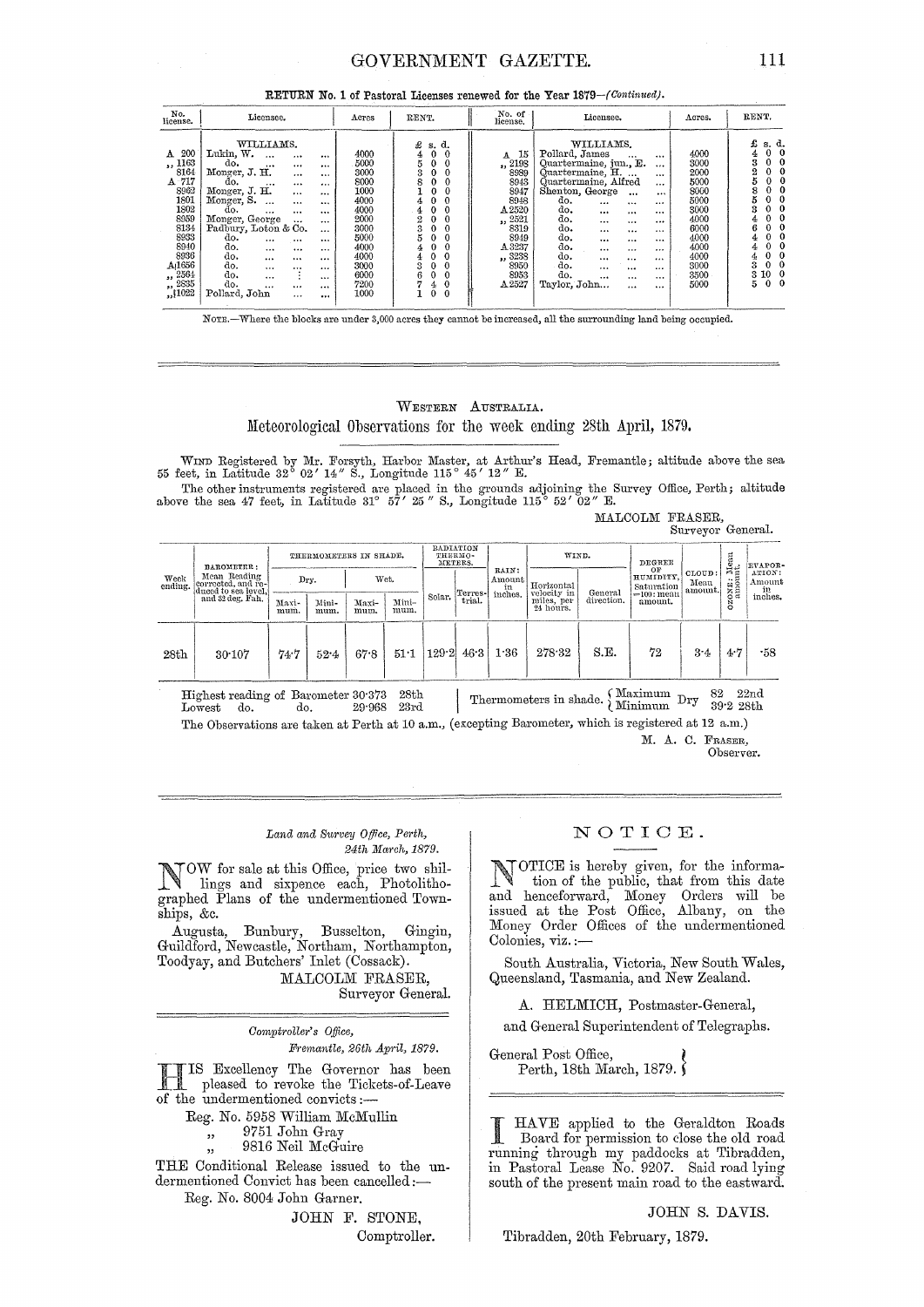### GOVERNMENT GAZETTE.

| RETURN No. 1 of Pastoral Licenses renewed for the Year 1879-(Continued). |  |  |  |  |  |  |  |  |  |  |
|--------------------------------------------------------------------------|--|--|--|--|--|--|--|--|--|--|
|--------------------------------------------------------------------------|--|--|--|--|--|--|--|--|--|--|

| No.<br>license.                                                                                                                                                      | Licensee.                                                                                                                                                                                                                                                                                                                                                                                                                                                                                                                                                     | Acres                                                                                                                        | RENT.                                                                                                                                                                                                                                 | No. of<br>license.                                                                                                                    | Licensee.                                                                                                                                                                                                                                                                                                                                                                                                                                                                | Acres.                                                                                                               | RENT.                                                                                                                                                                            |
|----------------------------------------------------------------------------------------------------------------------------------------------------------------------|---------------------------------------------------------------------------------------------------------------------------------------------------------------------------------------------------------------------------------------------------------------------------------------------------------------------------------------------------------------------------------------------------------------------------------------------------------------------------------------------------------------------------------------------------------------|------------------------------------------------------------------------------------------------------------------------------|---------------------------------------------------------------------------------------------------------------------------------------------------------------------------------------------------------------------------------------|---------------------------------------------------------------------------------------------------------------------------------------|--------------------------------------------------------------------------------------------------------------------------------------------------------------------------------------------------------------------------------------------------------------------------------------------------------------------------------------------------------------------------------------------------------------------------------------------------------------------------|----------------------------------------------------------------------------------------------------------------------|----------------------------------------------------------------------------------------------------------------------------------------------------------------------------------|
| 200<br>A<br>,, 1163<br>8164<br>A 717<br>8962<br>1801<br>1802<br>8959<br>8134<br>8933<br>8940<br>8936<br>A <sub>1656</sub><br>,, 2564<br>$\frac{1}{2}$ , 2835<br>1022 | WILLIAMS.<br>Lukin, W.<br>$\cdots$<br><br>$\cdots$<br>do.<br>$\cdots$<br>$\cdots$<br>$\cdots$<br>Monger, J. H.<br>$\cdots$<br><br>do.<br><br>$\cdots$<br>$\cdots$<br>Monger, J. H.<br>$\cdots$<br>$\cdots$<br>Monger, S.<br>$\cdots$<br><br><br>do.<br><br>$\cdots$<br><br>Monger, George<br>$\ddotsc$<br>$\cdots$<br>Padbury, Loton & Co.<br>$\cdots$<br>do.<br>$\cdots$<br>$\cdots$<br><br>do.<br>$\cdots$<br><br>$\cdots$<br>do.<br>$\cdots$<br>$\cdots$<br><br>do.<br><br><br><br>do.<br>$\cdots$<br>$\cdots$<br>do.<br><br><br><br>Pollard, John<br><br> | 4000<br>5000<br>3000<br>8000<br>1000<br>4000<br>4000<br>2000<br>3000<br>5000<br>4000<br>4000<br>3000<br>6000<br>7200<br>1000 | £<br>s. d.<br>$\Omega$<br>4<br>$\bf{0}$<br>3<br>0<br>s<br>$\Omega$<br>0<br>4<br>4<br>2<br>$\boldsymbol{0}$<br>3<br>$\Omega$<br>0<br>$\mathbf 0$<br>4<br>$\Omega$<br>0<br>4<br>3<br>0<br>r.<br>0<br>$\mathbf{0}$<br>4<br>0<br>$\theta$ | 15<br>A<br>,, 2198<br>8989<br>8943<br>8947<br>8948<br>A2520<br>,, 2521<br>8319<br>8949<br>A 3237<br>,, 3238<br>8950<br>8953<br>A 2527 | WILLIAMS.<br>Pollard, James<br>$\cdots$<br><br>Quartermaine, jun., E.<br>$\cdots$<br>Quartermaine, H.<br>$\cdots$<br>Quartermaine, Alfred<br>$\cdots$<br>Shenton, George<br>$\cdots$<br>$\cdots$<br>do.<br>$\cdots$<br><br><br>do.<br>1.1.1<br>$\cdots$<br><br>do.<br>$\cdots$<br>$\cdots$<br><br>do.<br><br>$\cdots$<br><br>do.<br><br><br><br>do.<br>$\cdots$<br><br><br>do.<br><br>$\cdots$<br><br>do.<br><br><br><br>do.<br><br><br>$\cdots$<br>Taylor, John<br><br> | 4000<br>3000<br>2000<br>5000<br>8000<br>5000<br>3000<br>4000<br>6000<br>4000<br>4000<br>4000<br>3000<br>3500<br>5000 | £<br>s. d.<br>0<br>$\mathbf{o}$<br>4<br>3<br>- 0<br>$\Omega$<br>2<br>$\Omega$<br>8<br>$\Omega$<br>6<br>$^{\circ}$<br>0<br>10<br>3.<br>$\Omega$<br>5.<br>$\mathbf{0}$<br>$\bf{0}$ |

NOTE.-Where the blocks are under 3,000 acres they cannot be increased, all the surrounding land being occupied.

### WESTERN AUSTRALIA.

Meteorological Observations for the week ending 28th April, 1879.

WIND Registered by Mr. Forsyth, Harbor Master, at Arthur's Head, Fremantle; altitude above the sea 55 feet, in Latitude 32° 02' 14" S., Longitude 115° 45' 12" E. The other instruments registered are placed in the grounds adjoining the Survey Office, Perth; altitude above the sea 47 feet, in Latitude 31° 57' 25" S., Longitude 115° 52' 02" E.

MALCOLM FRASER,<br>Surveyor General.

|                 |                                                                                             |                        |               |               |               |                                 |         |                                  |                           |            |                               | 24.10, 01.000             |                                   |                                   |
|-----------------|---------------------------------------------------------------------------------------------|------------------------|---------------|---------------|---------------|---------------------------------|---------|----------------------------------|---------------------------|------------|-------------------------------|---------------------------|-----------------------------------|-----------------------------------|
| Week<br>ending. | BAROMETER:<br>Mean Reading<br>corrected, and re-<br>duced to sea level,<br>and 32 deg. Fah. | THERMOMETERS IN SHADE. |               |               |               | RADIATION<br>THERMO-<br>METERS. |         | WIND.                            |                           | DEGREE     |                               | $_{t}^{\text{ten}}$       | <b>EVAPOR-</b>                    |                                   |
|                 |                                                                                             |                        | Dry.          | Wet.          |               |                                 | Terres- | RAIN:<br>Amount<br>in<br>inches. | Horizontal<br>velocity in | General    | OF<br>HUMIDITY,<br>Saturation | CLOUD:<br>Mean<br>amount. | 西日<br>$\ddotsc$<br>ONE:<br>Ñ<br>ö | ATION:<br>Amount<br>in<br>inches. |
|                 |                                                                                             | Maxi-<br>mum.          | Mini-<br>mum. | Maxi-<br>mum. | Mini-<br>mum. | Solar.                          | trial.  |                                  | miles, per<br>24 hours.   | direction. | == 100: mean<br>amount.       |                           |                                   |                                   |
| 28th            | 30.107                                                                                      | 74.7                   | 52.4          | 67.8          | 51.1          | 129.2                           | 46.3    | 1.36                             | 278.32                    | S.E.       | 72                            | $3-4$                     | 4.7                               | -58                               |
|                 | Highest reading of Barometer 30.373<br>do.<br>$_{\rm Lowest}$                               | do.                    |               | 29.968        | 28th<br>23rd  |                                 |         |                                  | Thermometers in shade.    |            | (Maximum Dry<br>Minimum       | 82                        | 39.228th                          | 22 <sub>nd</sub>                  |

The Observations are taken at Perth at 10 a.m., (excepting Barometer, which is registered at 12 a.m.) M. A. C. FRASER,

Observer.

#### Land and Survey Office, Perth, 24th March, 1879.

TOW for sale at this Office, price two shillings and sixpence each, Photolithographed Plans of the undermentioned Townships, &c.

Augusta, Bunbury, Busselton, Gingin,<br>Guildford, Newcastle, Northam, Northampton, Toodyay, and Butchers' Inlet (Cossack).

MALCOLM FRASER, Surveyor General.

Comptroller's Office, Fremantle, 26th April, 1879.

IS Excellency The Governor has been pleased to revoke the Tickets-of-Leave of the undermentioned convicts:-

Reg. No. 5958 William McMullin

9751 John Gray  $, 1$ 

9816 Neil McGuire

THE Conditional Release issued to the undermentioned Convict has been cancelled:-

Reg. No. 8004 John Garner.

JOHN F. STONE. Comptroller.

### NOTICE.

人生 人名英格兰人姓氏卡尔 OTICE is hereby given, for the information of the public, that from this date<br>and henceforward, Money Orders will be issued at the Post Office, Albany, on the Money Order Offices of the undermentioned Colonies, viz.:-

South Australia, Victoria, New South Wales, Queensland, Tasmania, and New Zealand.

A. HELMICH, Postmaster-General,

and General Superintendent of Telegraphs.

General Post Office, Perth, 18th March, 1879.

HAVE applied to the Geraldton Roads Board for permission to close the old road running through my paddocks at Tibradden, in Pastoral Lease No. 9207. Said road lying<br>south of the present main road to the eastward.

JOHN S. DAVIS.

Tibradden, 20th February, 1879.